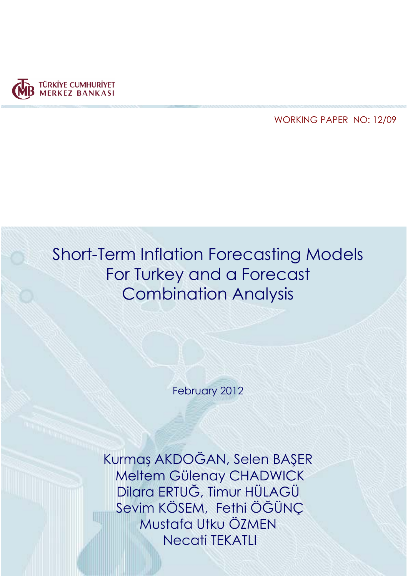

WORKING PAPER NO: 12/09

# Short-Term Inflation Forecasting Models For Turkey and a Forecast Combination Analysis

February 2012

Kurmaş AKDOĞAN, Selen BAŞER Meltem Gülenay CHADWICK Dilara ERTUĞ, Timur HÜLAGÜ Sevim KÖSEM, Fethi ÖĞÜNÇ Mustafa Utku ÖZMEN Necati TEKATLI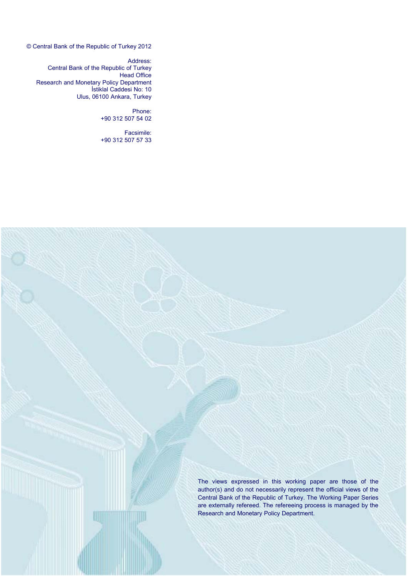© Central Bank of the Republic of Turkey 2012

Address: Central Bank of the Republic of Turkey Head Office Research and Monetary Policy Department İstiklal Caddesi No: 10 Ulus, 06100 Ankara, Turkey

> Phone: +90 312 507 54 02

Facsimile: +90 312 507 57 33

> The views expressed in this working paper are those of the author(s) and do not necessarily represent the official views of the Central Bank of the Republic of Turkey. The Working Paper Series are externally refereed. The refereeing process is managed by the Research and Monetary Policy Department.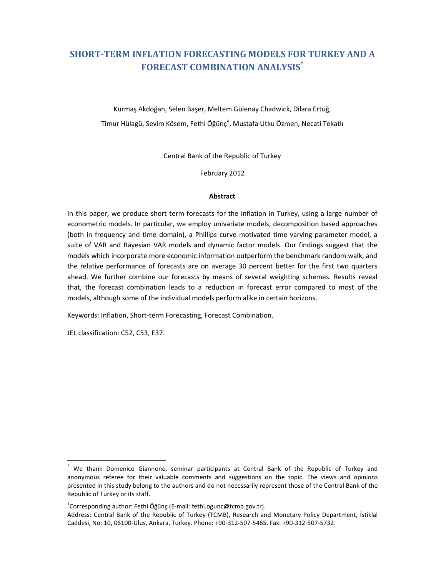# **SHORT-TERM INFLATION FORECASTING MODELS FOR TURKEY AND A FORECAST COMBINATION ANALYSIS\***

Kurmaş Akdoğan, Selen Başer, Meltem Gülenay Chadwick, Dilara Ertuğ, Timur Hülagü, Sevim Kösem, Fethi Öğünç<sup>‡</sup>, Mustafa Utku Özmen, Necati Tekatlı

Central Bank of the Republic of Turkey

February 2012

#### **Abstract**

In this paper, we produce short term forecasts for the inflation in Turkey, using a large number of econometric models. In particular, we employ univariate models, decomposition based approaches (both in frequency and time domain), a Phillips curve motivated time varying parameter model, a suite of VAR and Bayesian VAR models and dynamic factor models. Our findings suggest that the models which incorporate more economic information outperform the benchmark random walk, and the relative performance of forecasts are on average 30 percent better for the first two quarters ahead. We further combine our forecasts by means of several weighting schemes. Results reveal that, the forecast combination leads to a reduction in forecast error compared to most of the models, although some of the individual models perform alike in certain horizons.

Keywords: Inflation, Short-term Forecasting, Forecast Combination.

JEL classification: C52, C53, E37.

l,

<sup>\*</sup> We thank Domenico Giannone, seminar participants at Central Bank of the Republic of Turkey and anonymous referee for their valuable comments and suggestions on the topic. The views and opinions presented in this study belong to the authors and do not necessarily represent those of the Central Bank of the Republic of Turkey or its staff.

<sup>‡</sup> Corresponding author: Fethi Öğünç (E-mail: fethi.ogunc@tcmb.gov.tr).

Address: Central Bank of the Republic of Turkey (TCMB), Research and Monetary Policy Department, İstiklal Caddesi, No: 10, 06100-Ulus, Ankara, Turkey. Phone: +90-312-507-5465. Fax: +90-312-507-5732.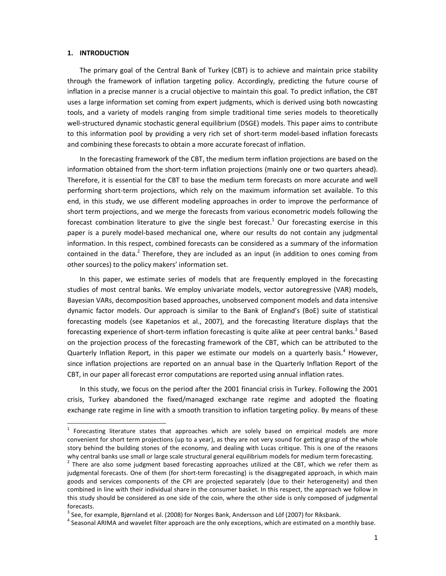#### **1. INTRODUCTION**

l,

The primary goal of the Central Bank of Turkey (CBT) is to achieve and maintain price stability through the framework of inflation targeting policy. Accordingly, predicting the future course of inflation in a precise manner is a crucial objective to maintain this goal. To predict inflation, the CBT uses a large information set coming from expert judgments, which is derived using both nowcasting tools, and a variety of models ranging from simple traditional time series models to theoretically well-structured dynamic stochastic general equilibrium (DSGE) models. This paper aims to contribute to this information pool by providing a very rich set of short-term model-based inflation forecasts and combining these forecasts to obtain a more accurate forecast of inflation.

In the forecasting framework of the CBT, the medium term inflation projections are based on the information obtained from the short-term inflation projections (mainly one or two quarters ahead). Therefore, it is essential for the CBT to base the medium term forecasts on more accurate and well performing short-term projections, which rely on the maximum information set available. To this end, in this study, we use different modeling approaches in order to improve the performance of short term projections, and we merge the forecasts from various econometric models following the forecast combination literature to give the single best forecast.<sup>1</sup> Our forecasting exercise in this paper is a purely model-based mechanical one, where our results do not contain any judgmental information. In this respect, combined forecasts can be considered as a summary of the information contained in the data. $2$  Therefore, they are included as an input (in addition to ones coming from other sources) to the policy makers' information set.

In this paper, we estimate series of models that are frequently employed in the forecasting studies of most central banks. We employ univariate models, vector autoregressive (VAR) models, Bayesian VARs, decomposition based approaches, unobserved component models and data intensive dynamic factor models. Our approach is similar to the Bank of England's (BoE) suite of statistical forecasting models (see Kapetanios et al., 2007), and the forecasting literature displays that the forecasting experience of short-term inflation forecasting is quite alike at peer central banks.<sup>3</sup> Based on the projection process of the forecasting framework of the CBT, which can be attributed to the Quarterly Inflation Report, in this paper we estimate our models on a quarterly basis.<sup>4</sup> However, since inflation projections are reported on an annual base in the Quarterly Inflation Report of the CBT, in our paper all forecast error computations are reported using annual inflation rates.

In this study, we focus on the period after the 2001 financial crisis in Turkey. Following the 2001 crisis, Turkey abandoned the fixed/managed exchange rate regime and adopted the floating exchange rate regime in line with a smooth transition to inflation targeting policy. By means of these

 $1$  Forecasting literature states that approaches which are solely based on empirical models are more convenient for short term projections (up to a year), as they are not very sound for getting grasp of the whole story behind the building stones of the economy, and dealing with Lucas critique. This is one of the reasons why central banks use small or large scale structural general equilibrium models for medium term forecasting.

 $^{2}$  There are also some judgment based forecasting approaches utilized at the CBT, which we refer them as judgmental forecasts. One of them (for short-term forecasting) is the disaggregated approach, in which main goods and services components of the CPI are projected separately (due to their heterogeneity) and then combined in line with their individual share in the consumer basket. In this respect, the approach we follow in this study should be considered as one side of the coin, where the other side is only composed of judgmental forecasts.

 $3$  See, for example, Bjørnland et al. (2008) for Norges Bank, Andersson and Löf (2007) for Riksbank.

 $<sup>4</sup>$  Seasonal ARIMA and wavelet filter approach are the only exceptions, which are estimated on a monthly base.</sup>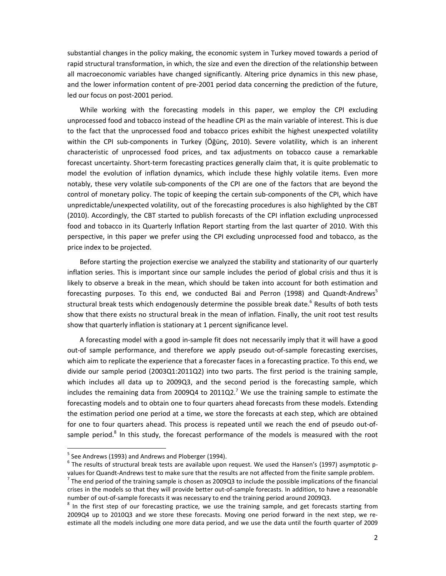substantial changes in the policy making, the economic system in Turkey moved towards a period of rapid structural transformation, in which, the size and even the direction of the relationship between all macroeconomic variables have changed significantly. Altering price dynamics in this new phase, and the lower information content of pre-2001 period data concerning the prediction of the future, led our focus on post-2001 period.

While working with the forecasting models in this paper, we employ the CPI excluding unprocessed food and tobacco instead of the headline CPI as the main variable of interest. This is due to the fact that the unprocessed food and tobacco prices exhibit the highest unexpected volatility within the CPI sub-components in Turkey (Öğünç, 2010). Severe volatility, which is an inherent characteristic of unprocessed food prices, and tax adjustments on tobacco cause a remarkable forecast uncertainty. Short-term forecasting practices generally claim that, it is quite problematic to model the evolution of inflation dynamics, which include these highly volatile items. Even more notably, these very volatile sub-components of the CPI are one of the factors that are beyond the control of monetary policy. The topic of keeping the certain sub-components of the CPI, which have unpredictable/unexpected volatility, out of the forecasting procedures is also highlighted by the CBT (2010). Accordingly, the CBT started to publish forecasts of the CPI inflation excluding unprocessed food and tobacco in its Quarterly Inflation Report starting from the last quarter of 2010. With this perspective, in this paper we prefer using the CPI excluding unprocessed food and tobacco, as the price index to be projected.

Before starting the projection exercise we analyzed the stability and stationarity of our quarterly inflation series. This is important since our sample includes the period of global crisis and thus it is likely to observe a break in the mean, which should be taken into account for both estimation and forecasting purposes. To this end, we conducted Bai and Perron (1998) and Quandt-Andrews<sup>5</sup> structural break tests which endogenously determine the possible break date.<sup>6</sup> Results of both tests show that there exists no structural break in the mean of inflation. Finally, the unit root test results show that quarterly inflation is stationary at 1 percent significance level.

A forecasting model with a good in-sample fit does not necessarily imply that it will have a good out-of sample performance, and therefore we apply pseudo out-of-sample forecasting exercises, which aim to replicate the experience that a forecaster faces in a forecasting practice. To this end, we divide our sample period (2003Q1:2011Q2) into two parts. The first period is the training sample, which includes all data up to 2009Q3, and the second period is the forecasting sample, which includes the remaining data from 2009Q4 to 2011Q2.<sup>7</sup> We use the training sample to estimate the forecasting models and to obtain one to four quarters ahead forecasts from these models. Extending the estimation period one period at a time, we store the forecasts at each step, which are obtained for one to four quarters ahead. This process is repeated until we reach the end of pseudo out-ofsample period.<sup>8</sup> In this study, the forecast performance of the models is measured with the root

l,

<sup>&</sup>lt;sup>5</sup> See Andrews (1993) and Andrews and Ploberger (1994).

 $^6$  The results of structural break tests are available upon request. We used the Hansen's (1997) asymptotic pvalues for Quandt-Andrews test to make sure that the results are not affected from the finite sample problem.

 $^7$  The end period of the training sample is chosen as 2009Q3 to include the possible implications of the financial crises in the models so that they will provide better out-of-sample forecasts. In addition, to have a reasonable number of out-of-sample forecasts it was necessary to end the training period around 2009Q3.

 $8$  In the first step of our forecasting practice, we use the training sample, and get forecasts starting from 2009Q4 up to 2010Q3 and we store these forecasts. Moving one period forward in the next step, we reestimate all the models including one more data period, and we use the data until the fourth quarter of 2009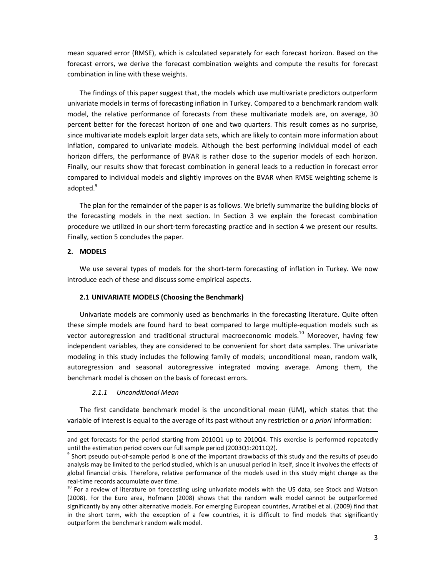mean squared error (RMSE), which is calculated separately for each forecast horizon. Based on the forecast errors, we derive the forecast combination weights and compute the results for forecast combination in line with these weights.

The findings of this paper suggest that, the models which use multivariate predictors outperform univariate models in terms of forecasting inflation in Turkey. Compared to a benchmark random walk model, the relative performance of forecasts from these multivariate models are, on average, 30 percent better for the forecast horizon of one and two quarters. This result comes as no surprise, since multivariate models exploit larger data sets, which are likely to contain more information about inflation, compared to univariate models. Although the best performing individual model of each horizon differs, the performance of BVAR is rather close to the superior models of each horizon. Finally, our results show that forecast combination in general leads to a reduction in forecast error compared to individual models and slightly improves on the BVAR when RMSE weighting scheme is adopted.<sup>9</sup>

The plan for the remainder of the paper is as follows. We briefly summarize the building blocks of the forecasting models in the next section. In Section 3 we explain the forecast combination procedure we utilized in our short-term forecasting practice and in section 4 we present our results. Finally, section 5 concludes the paper.

#### **2. MODELS**

-

We use several types of models for the short-term forecasting of inflation in Turkey. We now introduce each of these and discuss some empirical aspects.

#### **2.1 UNIVARIATE MODELS (Choosing the Benchmark)**

Univariate models are commonly used as benchmarks in the forecasting literature. Quite often these simple models are found hard to beat compared to large multiple-equation models such as vector autoregression and traditional structural macroeconomic models.<sup>10</sup> Moreover, having few independent variables, they are considered to be convenient for short data samples. The univariate modeling in this study includes the following family of models; unconditional mean, random walk, autoregression and seasonal autoregressive integrated moving average. Among them, the benchmark model is chosen on the basis of forecast errors.

#### *2.1.1 Unconditional Mean*

The first candidate benchmark model is the unconditional mean (UM), which states that the variable of interest is equal to the average of its past without any restriction or *a priori* information:

and get forecasts for the period starting from 2010Q1 up to 2010Q4. This exercise is performed repeatedly until the estimation period covers our full sample period (2003Q1:2011Q2).

 $9$  Short pseudo out-of-sample period is one of the important drawbacks of this study and the results of pseudo analysis may be limited to the period studied, which is an unusual period in itself, since it involves the effects of global financial crisis. Therefore, relative performance of the models used in this study might change as the real-time records accumulate over time.

 $10$  For a review of literature on forecasting using univariate models with the US data, see Stock and Watson (2008). For the Euro area, Hofmann (2008) shows that the random walk model cannot be outperformed significantly by any other alternative models. For emerging European countries, Arratibel et al. (2009) find that in the short term, with the exception of a few countries, it is difficult to find models that significantly outperform the benchmark random walk model.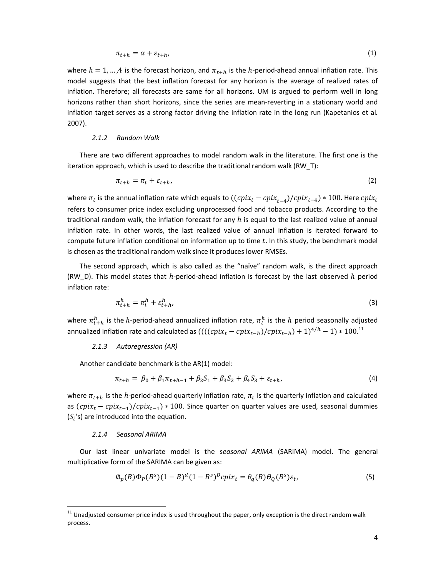$$
\pi_{t+h} = \alpha + \varepsilon_{t+h},\tag{1}
$$

where  $h = 1, ..., 4$  is the forecast horizon, and  $\pi_{t+h}$  is the  $h$ -period-ahead annual inflation rate. This model suggests that the best inflation forecast for any horizon is the average of realized rates of inflation. Therefore; all forecasts are same for all horizons. UM is argued to perform well in long horizons rather than short horizons, since the series are mean-reverting in a stationary world and inflation target serves as a strong factor driving the inflation rate in the long run (Kapetanios et al*.*  2007).

#### *2.1.2 Random Walk*

There are two different approaches to model random walk in the literature. The first one is the iteration approach, which is used to describe the traditional random walk (RW\_T):

$$
\pi_{t+h} = \pi_t + \varepsilon_{t+h},\tag{2}
$$

where  $\pi_t$  is the annual inflation rate which equals to  $((cpix_t - cpix_{t-4})/cpix_{t-4})*100$ . Here  $cpix_t$ refers to consumer price index excluding unprocessed food and tobacco products. According to the traditional random walk, the inflation forecast for any  $h$  is equal to the last realized value of annual inflation rate. In other words, the last realized value of annual inflation is iterated forward to compute future inflation conditional on information up to time t. In this study, the benchmark model is chosen as the traditional random walk since it produces lower RMSEs.

The second approach, which is also called as the "naïve" random walk, is the direct approach (RW\_D). This model states that  $h$ -period-ahead inflation is forecast by the last observed  $h$  period inflation rate:

$$
\pi_{t+h}^h = \pi_t^h + \varepsilon_{t+h}^h,\tag{3}
$$

where  $\pi^h_{t+h}$  is the h-period-ahead annualized inflation rate,  $\pi^h_t$  is the h period seasonally adjusted annualized inflation rate and calculated as  $(((\text{cpix}_t - \text{cpix}_{t-h})/\text{cpix}_{t-h}) + 1)^{4/h} - 1) * 100.^{11}$ 

#### *2.1.3 Autoregression (AR)*

Another candidate benchmark is the AR(1) model:

$$
\pi_{t+h} = \beta_0 + \beta_1 \pi_{t+h-1} + \beta_2 S_1 + \beta_3 S_2 + \beta_4 S_3 + \varepsilon_{t+h},\tag{4}
$$

where  $\pi_{t+h}$  is the h-period-ahead quarterly inflation rate,  $\pi_t$  is the quarterly inflation and calculated as  $(cpix_t - cpix_{t-1})/cpix_{t-1}$ ) \* 100. Since quarter on quarter values are used, seasonal dummies  $(S_i$ 's) are introduced into the equation.

#### *2.1.4 Seasonal ARIMA*

l,

Our last linear univariate model is the s*easonal ARIMA* (SARIMA) model. The general multiplicative form of the SARIMA can be given as:

$$
\phi_p(B)\Phi_p(B^s)(1-B)^d(1-B^s)^p cpi x_t = \theta_q(B)\theta_q(B^s)\varepsilon_t,\tag{5}
$$

 $11$  Unadjusted consumer price index is used throughout the paper, only exception is the direct random walk process.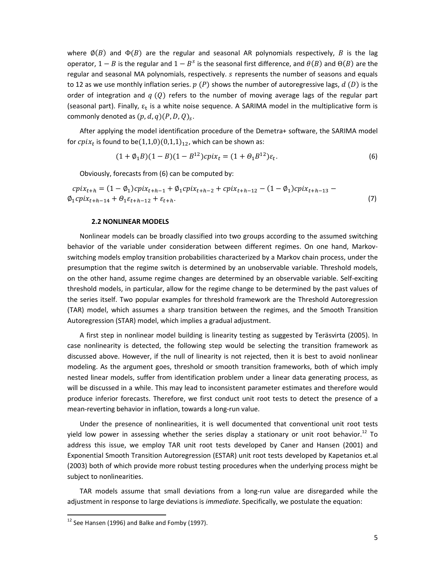where  $\phi(B)$  and  $\Phi(B)$  are the regular and seasonal AR polynomials respectively, B is the lag operator,  $1 - B$  is the regular and  $1 - B<sup>s</sup>$  is the seasonal first difference, and  $\theta(B)$  and  $\Theta(B)$  are the regular and seasonal MA polynomials, respectively.  $s$  represents the number of seasons and equals to 12 as we use monthly inflation series.  $p(P)$  shows the number of autoregressive lags,  $d(D)$  is the order of integration and  $q(Q)$  refers to the number of moving average lags of the regular part (seasonal part). Finally,  $\varepsilon_{\rm t}$  is a white noise sequence. A SARIMA model in the multiplicative form is commonly denoted as  $(p, d, q)(P, D, Q)_{s}$ .

After applying the model identification procedure of the Demetra+ software, the SARIMA model for  $\textit{cpix}_t$  is found to be $(1,1,0)(0,1,1)_{12}$ , which can be shown as:

$$
(1 + \varnothing_1 B)(1 - B)(1 - B^{12})\text{cpix}_t = (1 + \varnothing_1 B^{12})\varepsilon_t.
$$
\n<sup>(6)</sup>

Obviously, forecasts from (6) can be computed by:

$$
cpi_{t+h} = (1 - \emptyset_1)cpi_{t+h-1} + \emptyset_1 cpi_{t+h-2} + cpi_{t+h-12} - (1 - \emptyset_1)cpi_{t+h-13} - \emptyset_1 cpi_{t+h-14} + \emptyset_1 \varepsilon_{t+h-12} + \varepsilon_{t+h}.
$$
\n
$$
(7)
$$

#### **2.2 NONLINEAR MODELS**

Nonlinear models can be broadly classified into two groups according to the assumed switching behavior of the variable under consideration between different regimes. On one hand, Markovswitching models employ transition probabilities characterized by a Markov chain process, under the presumption that the regime switch is determined by an unobservable variable. Threshold models, on the other hand, assume regime changes are determined by an observable variable. Self-exciting threshold models, in particular, allow for the regime change to be determined by the past values of the series itself. Two popular examples for threshold framework are the Threshold Autoregression (TAR) model, which assumes a sharp transition between the regimes, and the Smooth Transition Autoregression (STAR) model, which implies a gradual adjustment.

A first step in nonlinear model building is linearity testing as suggested by Teräsvirta (2005). In case nonlinearity is detected, the following step would be selecting the transition framework as discussed above. However, if the null of linearity is not rejected, then it is best to avoid nonlinear modeling. As the argument goes, threshold or smooth transition frameworks, both of which imply nested linear models, suffer from identification problem under a linear data generating process, as will be discussed in a while. This may lead to inconsistent parameter estimates and therefore would produce inferior forecasts. Therefore, we first conduct unit root tests to detect the presence of a mean-reverting behavior in inflation, towards a long-run value.

Under the presence of nonlinearities, it is well documented that conventional unit root tests yield low power in assessing whether the series display a stationary or unit root behavior.<sup>12</sup> To address this issue, we employ TAR unit root tests developed by Caner and Hansen (2001) and Exponential Smooth Transition Autoregression (ESTAR) unit root tests developed by Kapetanios et.al (2003) both of which provide more robust testing procedures when the underlying process might be subject to nonlinearities.

TAR models assume that small deviations from a long-run value are disregarded while the adjustment in response to large deviations is *immediate*. Specifically, we postulate the equation:

1

 $12$  See Hansen (1996) and Balke and Fomby (1997).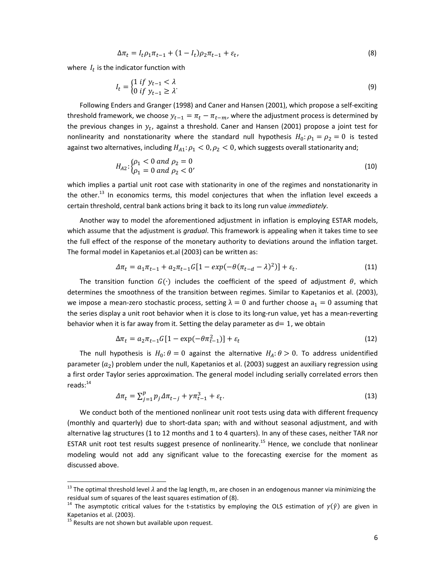$$
\Delta \pi_t = I_t \rho_1 \pi_{t-1} + (1 - I_t) \rho_2 \pi_{t-1} + \varepsilon_t,
$$
\n(8)

where  $I_t$  is the indicator function with

$$
I_t = \begin{cases} 1 & \text{if } y_{t-1} < \lambda \\ 0 & \text{if } y_{t-1} \ge \lambda \end{cases} \tag{9}
$$

Following Enders and Granger (1998) and Caner and Hansen (2001), which propose a self-exciting threshold framework, we choose  $y_{t-1} = \pi_t - \pi_{t-m}$ , where the adjustment process is determined by the previous changes in  $y_t$ , against a threshold. Caner and Hansen (2001) propose a joint test for nonlinearity and nonstationarity where the standard null hypothesis  $H_0: \rho_1 = \rho_2 = 0$  is tested against two alternatives, including  $H_{A1}: \rho_1 < 0, \rho_2 < 0$ , which suggests overall stationarity and;

$$
H_{A2}: \begin{cases} \rho_1 < 0 \text{ and } \rho_2 = 0\\ \rho_1 = 0 \text{ and } \rho_2 < 0' \end{cases} \tag{10}
$$

which implies a partial unit root case with stationarity in one of the regimes and nonstationarity in the other.<sup>13</sup> In economics terms, this model conjectures that when the inflation level exceeds a certain threshold, central bank actions bring it back to its long run value *immediately*.

Another way to model the aforementioned adjustment in inflation is employing ESTAR models, which assume that the adjustment is *gradual*. This framework is appealing when it takes time to see the full effect of the response of the monetary authority to deviations around the inflation target. The formal model in Kapetanios et.al (2003) can be written as:

$$
\Delta \pi_t = a_1 \pi_{t-1} + a_2 \pi_{t-1} G [1 - exp(-\theta (\pi_{t-d} - \lambda)^2)] + \varepsilon_t.
$$
\n(11)

The transition function  $G(•)$  includes the coefficient of the speed of adjustment  $\theta$ , which determines the smoothness of the transition between regimes. Similar to Kapetanios et al. (2003), we impose a mean-zero stochastic process, setting  $\lambda = 0$  and further choose  $a_1 = 0$  assuming that the series display a unit root behavior when it is close to its long-run value, yet has a mean-reverting behavior when it is far away from it. Setting the delay parameter as  $d = 1$ , we obtain

$$
\Delta \pi_t = a_2 \pi_{t-1} G \left[ 1 - \exp(-\theta \pi_{t-1}^2) \right] + \varepsilon_t \tag{12}
$$

The null hypothesis is  $H_0: \theta = 0$  against the alternative  $H_A: \theta > 0$ . To address unidentified parameter ( $a_2$ ) problem under the null, Kapetanios et al. (2003) suggest an auxiliary regression using a first order Taylor series approximation. The general model including serially correlated errors then  $reads:$ <sup>14</sup>

$$
\Delta \pi_t = \sum_{j=1}^p p_j \Delta \pi_{t-j} + \gamma \pi_{t-1}^3 + \varepsilon_t.
$$
\n(13)

We conduct both of the mentioned nonlinear unit root tests using data with different frequency (monthly and quarterly) due to short-data span; with and without seasonal adjustment, and with alternative lag structures (1 to 12 months and 1 to 4 quarters). In any of these cases, neither TAR nor ESTAR unit root test results suggest presence of nonlinearity.<sup>15</sup> Hence, we conclude that nonlinear modeling would not add any significant value to the forecasting exercise for the moment as discussed above.

1

<sup>&</sup>lt;sup>13</sup> The optimal threshold level  $\lambda$  and the lag length,  $m$ , are chosen in an endogenous manner via minimizing the residual sum of squares of the least squares estimation of (8).

<sup>&</sup>lt;sup>14</sup> The asymptotic critical values for the t-statistics by employing the OLS estimation of  $\gamma(\hat{y})$  are given in Kapetanios et al. (2003).

 $15$  Results are not shown but available upon request.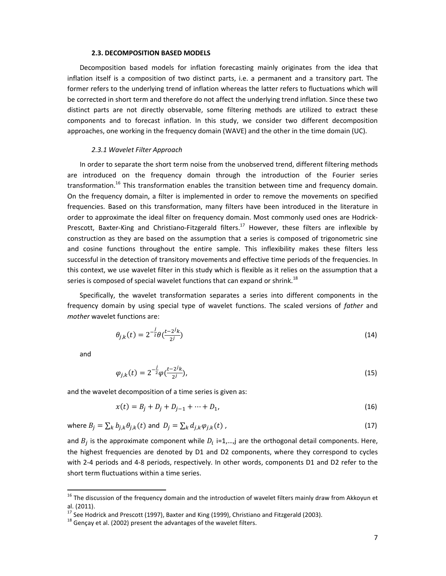#### **2.3. DECOMPOSITION BASED MODELS**

Decomposition based models for inflation forecasting mainly originates from the idea that inflation itself is a composition of two distinct parts, i.e. a permanent and a transitory part. The former refers to the underlying trend of inflation whereas the latter refers to fluctuations which will be corrected in short term and therefore do not affect the underlying trend inflation. Since these two distinct parts are not directly observable, some filtering methods are utilized to extract these components and to forecast inflation. In this study, we consider two different decomposition approaches, one working in the frequency domain (WAVE) and the other in the time domain (UC).

#### *2.3.1 Wavelet Filter Approach*

In order to separate the short term noise from the unobserved trend, different filtering methods are introduced on the frequency domain through the introduction of the Fourier series transformation.<sup>16</sup> This transformation enables the transition between time and frequency domain. On the frequency domain, a filter is implemented in order to remove the movements on specified frequencies. Based on this transformation, many filters have been introduced in the literature in order to approximate the ideal filter on frequency domain. Most commonly used ones are Hodrick-Prescott, Baxter-King and Christiano-Fitzgerald filters.<sup>17</sup> However, these filters are inflexible by construction as they are based on the assumption that a series is composed of trigonometric sine and cosine functions throughout the entire sample. This inflexibility makes these filters less successful in the detection of transitory movements and effective time periods of the frequencies. In this context, we use wavelet filter in this study which is flexible as it relies on the assumption that a series is composed of special wavelet functions that can expand or shrink.<sup>18</sup>

Specifically, the wavelet transformation separates a series into different components in the frequency domain by using special type of wavelet functions. The scaled versions of *father* and *mother* wavelet functions are:

$$
\theta_{j,k}(t) = 2^{-\frac{j}{2}} \theta(\frac{t - 2^{j}k}{2^{j}})
$$
\n(14)

and

l,

$$
\varphi_{j,k}(t) = 2^{-\frac{j}{2}} \varphi(\frac{t-2j_k}{2^j}),\tag{15}
$$

and the wavelet decomposition of a time series is given as:

$$
x(t) = B_j + D_j + D_{j-1} + \dots + D_1,\tag{16}
$$

where  $B_j = \sum_k b_{j,k} \theta_{j,k}(t)$  and  $D_j = \sum_k d_{j,k} \varphi_{j,k}(t)$ , (17)

and  $B_j$  is the approximate component while  $D_i$  i=1,...,j are the orthogonal detail components. Here, the highest frequencies are denoted by D1 and D2 components, where they correspond to cycles with 2-4 periods and 4-8 periods, respectively. In other words, components D1 and D2 refer to the short term fluctuations within a time series.

 $16$  The discussion of the frequency domain and the introduction of wavelet filters mainly draw from Akkoyun et al. (2011).

 $17$  See Hodrick and Prescott (1997), Baxter and King (1999), Christiano and Fitzgerald (2003).

 $18$  Gençay et al. (2002) present the advantages of the wavelet filters.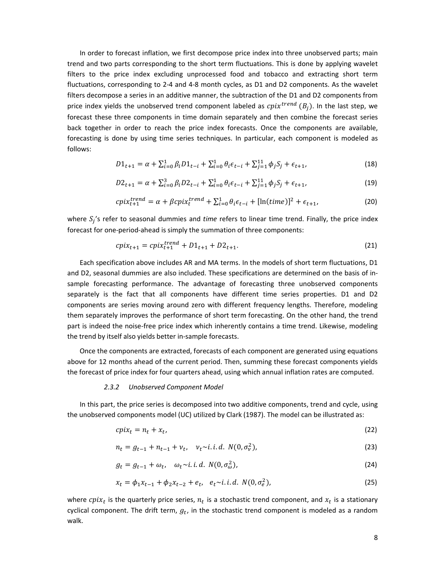In order to forecast inflation, we first decompose price index into three unobserved parts; main trend and two parts corresponding to the short term fluctuations. This is done by applying wavelet filters to the price index excluding unprocessed food and tobacco and extracting short term fluctuations, corresponding to 2-4 and 4-8 month cycles, as D1 and D2 components. As the wavelet filters decompose a series in an additive manner, the subtraction of the D1 and D2 components from price index yields the unobserved trend component labeled as  $\mathit{cpi}^{trend}\ (B_j)$ . In the last step, we forecast these three components in time domain separately and then combine the forecast series back together in order to reach the price index forecasts. Once the components are available, forecasting is done by using time series techniques. In particular, each component is modeled as follows:

$$
D1_{t+1} = \alpha + \sum_{i=0}^{1} \beta_i D1_{t-i} + \sum_{i=0}^{1} \theta_i \epsilon_{t-i} + \sum_{j=1}^{11} \phi_j S_j + \epsilon_{t+1},
$$
\n(18)

$$
D2_{t+1} = \alpha + \sum_{i=0}^{3} \beta_i D2_{t-i} + \sum_{i=0}^{1} \theta_i \epsilon_{t-i} + \sum_{j=1}^{11} \phi_j S_j + \epsilon_{t+1},
$$
\n(19)

$$
cpix_{t+1}^{trend} = \alpha + \beta cpix_t^{trend} + \sum_{i=0}^{1} \theta_i \epsilon_{t-i} + [\ln(time)]^2 + \epsilon_{t+1},\tag{20}
$$

where S<sub>j</sub>'s refer to seasonal dummies and *time* refers to linear time trend. Finally, the price index forecast for one-period-ahead is simply the summation of three components:

$$
cpix_{t+1} = cpix_{t+1}^{trend} + D1_{t+1} + D2_{t+1}.
$$
\n(21)

Each specification above includes AR and MA terms. In the models of short term fluctuations, D1 and D2, seasonal dummies are also included. These specifications are determined on the basis of insample forecasting performance. The advantage of forecasting three unobserved components separately is the fact that all components have different time series properties. D1 and D2 components are series moving around zero with different frequency lengths. Therefore, modeling them separately improves the performance of short term forecasting. On the other hand, the trend part is indeed the noise-free price index which inherently contains a time trend. Likewise, modeling the trend by itself also yields better in-sample forecasts.

Once the components are extracted, forecasts of each component are generated using equations above for 12 months ahead of the current period. Then, summing these forecast components yields the forecast of price index for four quarters ahead, using which annual inflation rates are computed.

#### *2.3.2 Unobserved Component Model*

In this part, the price series is decomposed into two additive components, trend and cycle, using the unobserved components model (UC) utilized by Clark (1987). The model can be illustrated as:

$$
cpix_t = n_t + x_t, \tag{22}
$$

$$
n_t = g_{t-1} + n_{t-1} + \nu_t, \quad \nu_t \sim i.i.d. \ N(0, \sigma_v^2), \tag{23}
$$

$$
g_t = g_{t-1} + \omega_t, \quad \omega_t \sim i.i.d. \ N(0, \sigma_\omega^2), \tag{24}
$$

$$
x_t = \phi_1 x_{t-1} + \phi_2 x_{t-2} + e_t, \quad e_t \sim i.i.d. \ N(0, \sigma_e^2), \tag{25}
$$

where  $cpix_t$  is the quarterly price series,  $n_t$  is a stochastic trend component, and  $x_t$  is a stationary cyclical component. The drift term,  $g_t$ , in the stochastic trend component is modeled as a random walk.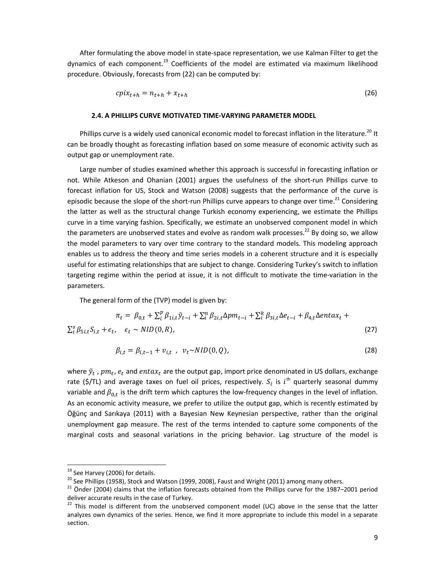After formulating the above model in state-space representation, we use Kalman Filter to get the dynamics of each component.<sup>19</sup> Coefficients of the model are estimated via maximum likelihood procedure. Obviously, forecasts from (22) can be computed by:

$$
cpix_{t+h} = n_{t+h} + x_{t+h} \tag{26}
$$

#### **2.4. A PHILLIPS CURVE MOTIVATED TIME-VARYING PARAMETER MODEL**

Phillips curve is a widely used canonical economic model to forecast inflation in the literature.<sup>20</sup> It can be broadly thought as forecasting inflation based on some measure of economic activity such as output gap or unemployment rate.

Large number of studies examined whether this approach is successful in forecasting inflation or not. While Atkeson and Ohanian (2001) argues the usefulness of the short-run Phillips curve to forecast inflation for US, Stock and Watson (2008) suggests that the performance of the curve is episodic because the slope of the short-run Phillips curve appears to change over time.<sup>21</sup> Considering the latter as well as the structural change Turkish economy experiencing, we estimate the Phillips curve in a time varying fashion. Specifically, we estimate an unobserved component model in which the parameters are unobserved states and evolve as random walk processes.<sup>22</sup> By doing so, we allow the model parameters to vary over time contrary to the standard models. This modeling approach enables us to address the theory and time series models in a coherent structure and it is especially useful for estimating relationships that are subject to change. Considering Turkey's switch to inflation targeting regime within the period at issue, it is not difficult to motivate the time-variation in the parameters.

The general form of the (TVP) model is given by:

$$
\pi_t = \beta_{0,t} + \sum_{i}^{p} \beta_{1i,t} \tilde{y}_{t-i} + \sum_{i}^{n} \beta_{2i,t} \Delta p m_{t-i} + \sum_{i}^{k} \beta_{3i,t} \Delta e_{t-i} + \beta_{4,t} \Delta entax_t + \sum_{i}^{s} \beta_{5i,t} S_{i,t} + \epsilon_t, \quad \epsilon_t \sim NID(0,R),
$$
\n(27)

$$
\beta_{i,t} = \beta_{i,t-1} + v_{i,t} \, , \, v_t \sim NID(0,Q), \tag{28}
$$

where  $\tilde{\mathbf{y}}_t$  ,  $pm_t$ ,  $e_t$  and  $entax_t$  are the output gap, import price denominated in US dollars, exchange rate (\$/TL) and average taxes on fuel oil prices, respectively.  $S_i$  is  $i^{\text{th}}$  quarterly seasonal dummy variable and  $\beta_{0,t}$  is the drift term which captures the low-frequency changes in the level of inflation. As an economic activity measure, we prefer to utilize the output gap, which is recently estimated by Öğünç and Sarıkaya (2011) with a Bayesian New Keynesian perspective, rather than the original unemployment gap measure. The rest of the terms intended to capture some components of the marginal costs and seasonal variations in the pricing behavior. Lag structure of the model is

l,

<sup>&</sup>lt;sup>19</sup> See Harvey (2006) for details.

 $20$  See Phillips (1958), Stock and Watson (1999, 2008), Faust and Wright (2011) among many others.

 $21$  Önder (2004) claims that the inflation forecasts obtained from the Phillips curve for the 1987–2001 period deliver accurate results in the case of Turkey.

 $22$  This model is different from the unobserved component model (UC) above in the sense that the latter analyzes own dynamics of the series. Hence, we find it more appropriate to include this model in a separate section.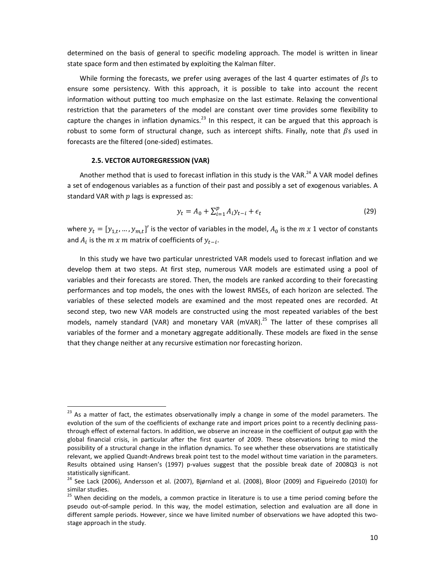determined on the basis of general to specific modeling approach. The model is written in linear state space form and then estimated by exploiting the Kalman filter.

While forming the forecasts, we prefer using averages of the last 4 quarter estimates of  $\beta$ s to ensure some persistency. With this approach, it is possible to take into account the recent information without putting too much emphasize on the last estimate. Relaxing the conventional restriction that the parameters of the model are constant over time provides some flexibility to capture the changes in inflation dynamics.<sup>23</sup> In this respect, it can be argued that this approach is robust to some form of structural change, such as intercept shifts. Finally, note that  $\beta$ s used in forecasts are the filtered (one-sided) estimates.

#### **2.5. VECTOR AUTOREGRESSION (VAR)**

l,

Another method that is used to forecast inflation in this study is the VAR.<sup>24</sup> A VAR model defines a set of endogenous variables as a function of their past and possibly a set of exogenous variables. A standard VAR with  $p$  lags is expressed as:

$$
y_t = A_0 + \sum_{i=1}^p A_i y_{t-i} + \epsilon_t
$$
\n(29)

where  $y_t = [y_{1,t},..., y_{m,t}]'$  is the vector of variables in the model,  $A_0$  is the  $m \, x$  1 vector of constants and  $A_i$  is the  $m x m$  matrix of coefficients of  $y_{t-i}$ .

In this study we have two particular unrestricted VAR models used to forecast inflation and we develop them at two steps. At first step, numerous VAR models are estimated using a pool of variables and their forecasts are stored. Then, the models are ranked according to their forecasting performances and top models, the ones with the lowest RMSEs, of each horizon are selected. The variables of these selected models are examined and the most repeated ones are recorded. At second step, two new VAR models are constructed using the most repeated variables of the best models, namely standard (VAR) and monetary VAR  $(mVAR)$ <sup>25</sup> The latter of these comprises all variables of the former and a monetary aggregate additionally. These models are fixed in the sense that they change neither at any recursive estimation nor forecasting horizon.

<sup>&</sup>lt;sup>23</sup> As a matter of fact, the estimates observationally imply a change in some of the model parameters. The evolution of the sum of the coefficients of exchange rate and import prices point to a recently declining passthrough effect of external factors. In addition, we observe an increase in the coefficient of output gap with the global financial crisis, in particular after the first quarter of 2009. These observations bring to mind the possibility of a structural change in the inflation dynamics. To see whether these observations are statistically relevant, we applied Quandt-Andrews break point test to the model without time variation in the parameters. Results obtained using Hansen's (1997) p-values suggest that the possible break date of 2008Q3 is not statistically significant.

 $24$  See Lack (2006), Andersson et al. (2007), Bjørnland et al. (2008), Bloor (2009) and Figueiredo (2010) for similar studies.

<sup>&</sup>lt;sup>25</sup> When deciding on the models, a common practice in literature is to use a time period coming before the pseudo out-of-sample period. In this way, the model estimation, selection and evaluation are all done in different sample periods. However, since we have limited number of observations we have adopted this twostage approach in the study.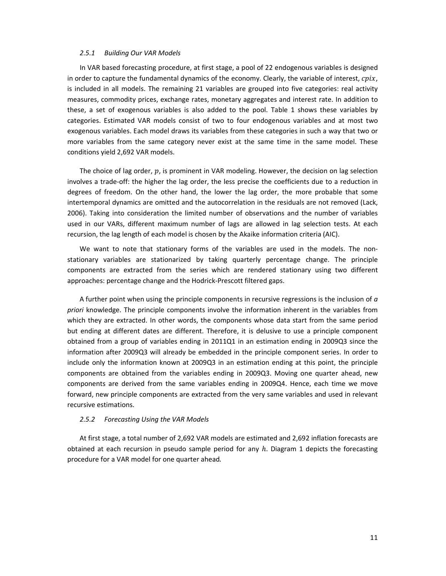#### *2.5.1 Building Our VAR Models*

In VAR based forecasting procedure, at first stage, a pool of 22 endogenous variables is designed in order to capture the fundamental dynamics of the economy. Clearly, the variable of interest,  $cpix$ , is included in all models. The remaining 21 variables are grouped into five categories: real activity measures, commodity prices, exchange rates, monetary aggregates and interest rate. In addition to these, a set of exogenous variables is also added to the pool. Table 1 shows these variables by categories. Estimated VAR models consist of two to four endogenous variables and at most two exogenous variables. Each model draws its variables from these categories in such a way that two or more variables from the same category never exist at the same time in the same model. These conditions yield 2,692 VAR models.

The choice of lag order,  $p$ , is prominent in VAR modeling. However, the decision on lag selection involves a trade-off: the higher the lag order, the less precise the coefficients due to a reduction in degrees of freedom. On the other hand, the lower the lag order, the more probable that some intertemporal dynamics are omitted and the autocorrelation in the residuals are not removed (Lack, 2006). Taking into consideration the limited number of observations and the number of variables used in our VARs, different maximum number of lags are allowed in lag selection tests. At each recursion, the lag length of each model is chosen by the Akaike information criteria (AIC).

We want to note that stationary forms of the variables are used in the models. The nonstationary variables are stationarized by taking quarterly percentage change. The principle components are extracted from the series which are rendered stationary using two different approaches: percentage change and the Hodrick-Prescott filtered gaps.

A further point when using the principle components in recursive regressions is the inclusion of *a priori* knowledge. The principle components involve the information inherent in the variables from which they are extracted. In other words, the components whose data start from the same period but ending at different dates are different. Therefore, it is delusive to use a principle component obtained from a group of variables ending in 2011Q1 in an estimation ending in 2009Q3 since the information after 2009Q3 will already be embedded in the principle component series. In order to include only the information known at 2009Q3 in an estimation ending at this point, the principle components are obtained from the variables ending in 2009Q3. Moving one quarter ahead, new components are derived from the same variables ending in 2009Q4. Hence, each time we move forward, new principle components are extracted from the very same variables and used in relevant recursive estimations.

#### *2.5.2 Forecasting Using the VAR Models*

At first stage, a total number of 2,692 VAR models are estimated and 2,692 inflation forecasts are obtained at each recursion in pseudo sample period for any  $h$ . Diagram 1 depicts the forecasting procedure for a VAR model for one quarter ahead.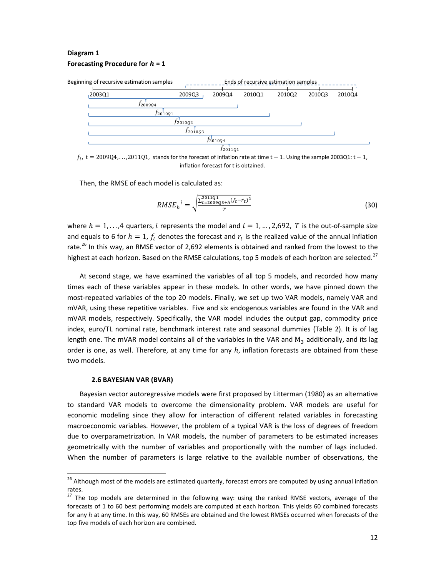### **Diagram 1 Forecasting Procedure for**  $h = 1$



 $f_t$ ,  $t = 2009Q4, \ldots, 2011Q1$ , stands for the forecast of inflation rate at time  $t - 1$ . Using the sample 2003Q1:  $t - 1$ , inflation forecast for t is obtained.

Then, the RMSE of each model is calculated as:

$$
RMSE_h{}^i = \sqrt{\frac{\sum_{t=2009Q3+h}^{2011Q1}(f_t - r_t)^2}{T}}
$$
\n(30)

where  $h = 1, \ldots, 4$  quarters, i represents the model and  $i = 1, \ldots, 2,692$ , T is the out-of-sample size and equals to 6 for  $h=1$ ,  $f_t$  denotes the forecast and  $r_t$  is the realized value of the annual inflation rate.<sup>26</sup> In this way, an RMSE vector of 2,692 elements is obtained and ranked from the lowest to the highest at each horizon. Based on the RMSE calculations, top 5 models of each horizon are selected.<sup>27</sup>

At second stage, we have examined the variables of all top 5 models, and recorded how many times each of these variables appear in these models. In other words, we have pinned down the most-repeated variables of the top 20 models. Finally, we set up two VAR models, namely VAR and mVAR, using these repetitive variables. Five and six endogenous variables are found in the VAR and mVAR models, respectively. Specifically, the VAR model includes the output gap, commodity price index, euro/TL nominal rate, benchmark interest rate and seasonal dummies (Table 2). It is of lag length one. The mVAR model contains all of the variables in the VAR and  $M_3$  additionally, and its lag order is one, as well. Therefore, at any time for any  $h$ , inflation forecasts are obtained from these two models.

#### **2.6 BAYESIAN VAR (BVAR)**

1

Bayesian vector autoregressive models were first proposed by Litterman (1980) as an alternative to standard VAR models to overcome the dimensionality problem. VAR models are useful for economic modeling since they allow for interaction of different related variables in forecasting macroeconomic variables. However, the problem of a typical VAR is the loss of degrees of freedom due to overparametrization. In VAR models, the number of parameters to be estimated increases geometrically with the number of variables and proportionally with the number of lags included. When the number of parameters is large relative to the available number of observations, the

<sup>&</sup>lt;sup>26</sup> Although most of the models are estimated quarterly, forecast errors are computed by using annual inflation rates.

 $27$  The top models are determined in the following way: using the ranked RMSE vectors, average of the forecasts of 1 to 60 best performing models are computed at each horizon. This yields 60 combined forecasts for any  $h$  at any time. In this way, 60 RMSEs are obtained and the lowest RMSEs occurred when forecasts of the top five models of each horizon are combined.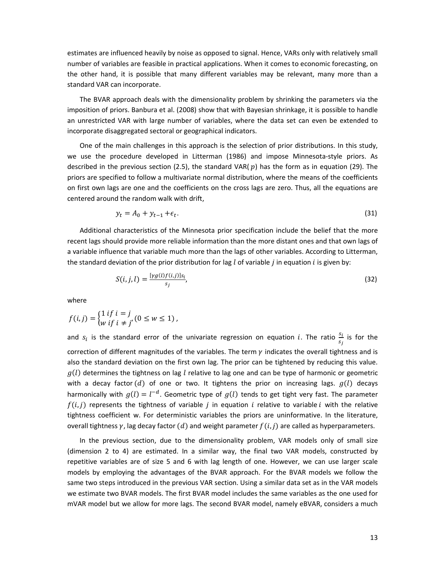estimates are influenced heavily by noise as opposed to signal. Hence, VARs only with relatively small number of variables are feasible in practical applications. When it comes to economic forecasting, on the other hand, it is possible that many different variables may be relevant, many more than a standard VAR can incorporate.

The BVAR approach deals with the dimensionality problem by shrinking the parameters via the imposition of priors. Banbura et al. (2008) show that with Bayesian shrinkage, it is possible to handle an unrestricted VAR with large number of variables, where the data set can even be extended to incorporate disaggregated sectoral or geographical indicators.

One of the main challenges in this approach is the selection of prior distributions. In this study, we use the procedure developed in Litterman (1986) and impose Minnesota-style priors. As described in the previous section (2.5), the standard VAR( $p$ ) has the form as in equation (29). The priors are specified to follow a multivariate normal distribution, where the means of the coefficients on first own lags are one and the coefficients on the cross lags are zero. Thus, all the equations are centered around the random walk with drift,

$$
y_t = A_0 + y_{t-1} + \epsilon_t. \tag{31}
$$

Additional characteristics of the Minnesota prior specification include the belief that the more recent lags should provide more reliable information than the more distant ones and that own lags of a variable influence that variable much more than the lags of other variables. According to Litterman, the standard deviation of the prior distribution for lag  $l$  of variable  $j$  in equation  $i$  is given by:

$$
S(i,j,l) = \frac{[rg(l)f(i,j)]s_i}{s_j},\tag{32}
$$

where

$$
f(i,j) = \begin{cases} 1 \; if \; i = j \\ w \; if \; i \neq j' \end{cases} (0 \leq w \leq 1) \;,
$$

and  $s_i$  is the standard error of the univariate regression on equation i. The ratio  $\frac{s_i}{s_j}$  is for the correction of different magnitudes of the variables. The term  $\gamma$  indicates the overall tightness and is also the standard deviation on the first own lag. The prior can be tightened by reducing this value.  $q(l)$  determines the tightness on lag l relative to lag one and can be type of harmonic or geometric with a decay factor (d) of one or two. It tightens the prior on increasing lags.  $g(l)$  decays harmonically with  $q(l) = l^{-d}$ . Geometric type of  $q(l)$  tends to get tight very fast. The parameter  $f(i, j)$  represents the tightness of variable *j* in equation *i* relative to variable *i* with the relative tightness coefficient w. For deterministic variables the priors are uninformative. In the literature, overall tightness  $\gamma$ , lag decay factor (d) and weight parameter  $f(i, j)$  are called as hyperparameters.

In the previous section, due to the dimensionality problem, VAR models only of small size (dimension 2 to 4) are estimated. In a similar way, the final two VAR models, constructed by repetitive variables are of size 5 and 6 with lag length of one. However, we can use larger scale models by employing the advantages of the BVAR approach. For the BVAR models we follow the same two steps introduced in the previous VAR section. Using a similar data set as in the VAR models we estimate two BVAR models. The first BVAR model includes the same variables as the one used for mVAR model but we allow for more lags. The second BVAR model, namely eBVAR, considers a much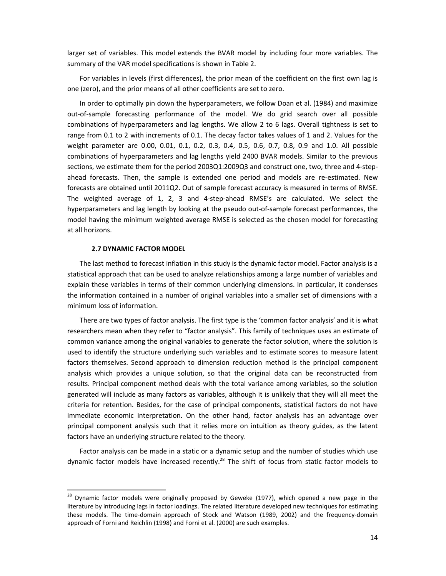larger set of variables. This model extends the BVAR model by including four more variables. The summary of the VAR model specifications is shown in Table 2.

For variables in levels (first differences), the prior mean of the coefficient on the first own lag is one (zero), and the prior means of all other coefficients are set to zero.

In order to optimally pin down the hyperparameters, we follow Doan et al. (1984) and maximize out-of-sample forecasting performance of the model. We do grid search over all possible combinations of hyperparameters and lag lengths. We allow 2 to 6 lags. Overall tightness is set to range from 0.1 to 2 with increments of 0.1. The decay factor takes values of 1 and 2. Values for the weight parameter are 0.00, 0.01, 0.1, 0.2, 0.3, 0.4, 0.5, 0.6, 0.7, 0.8, 0.9 and 1.0. All possible combinations of hyperparameters and lag lengths yield 2400 BVAR models. Similar to the previous sections, we estimate them for the period 2003Q1:2009Q3 and construct one, two, three and 4-stepahead forecasts. Then, the sample is extended one period and models are re-estimated. New forecasts are obtained until 2011Q2. Out of sample forecast accuracy is measured in terms of RMSE. The weighted average of 1, 2, 3 and 4-step-ahead RMSE's are calculated. We select the hyperparameters and lag length by looking at the pseudo out-of-sample forecast performances, the model having the minimum weighted average RMSE is selected as the chosen model for forecasting at all horizons.

#### **2.7 DYNAMIC FACTOR MODEL**

l,

The last method to forecast inflation in this study is the dynamic factor model. Factor analysis is a statistical approach that can be used to analyze relationships among a large number of variables and explain these variables in terms of their common underlying dimensions. In particular, it condenses the information contained in a number of original variables into a smaller set of dimensions with a minimum loss of information.

There are two types of factor analysis. The first type is the 'common factor analysis' and it is what researchers mean when they refer to "factor analysis". This family of techniques uses an estimate of common variance among the original variables to generate the factor solution, where the solution is used to identify the structure underlying such variables and to estimate scores to measure latent factors themselves. Second approach to dimension reduction method is the principal component analysis which provides a unique solution, so that the original data can be reconstructed from results. Principal component method deals with the total variance among variables, so the solution generated will include as many factors as variables, although it is unlikely that they will all meet the criteria for retention. Besides, for the case of principal components, statistical factors do not have immediate economic interpretation. On the other hand, factor analysis has an advantage over principal component analysis such that it relies more on intuition as theory guides, as the latent factors have an underlying structure related to the theory.

Factor analysis can be made in a static or a dynamic setup and the number of studies which use dynamic factor models have increased recently.<sup>28</sup> The shift of focus from static factor models to

<sup>&</sup>lt;sup>28</sup> Dynamic factor models were originally proposed by Geweke (1977), which opened a new page in the literature by introducing lags in factor loadings. The related literature developed new techniques for estimating these models. The time-domain approach of Stock and Watson (1989, 2002) and the frequency-domain approach of Forni and Reichlin (1998) and Forni et al. (2000) are such examples.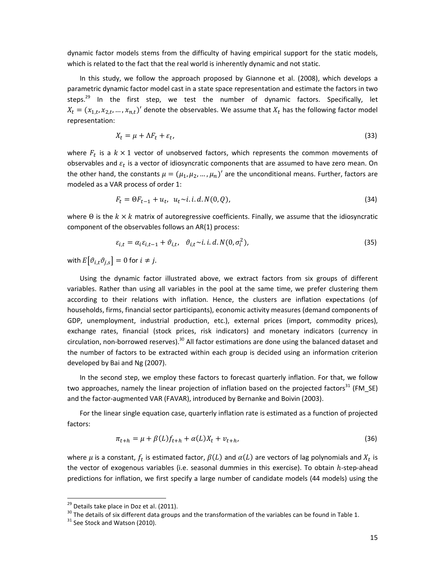dynamic factor models stems from the difficulty of having empirical support for the static models, which is related to the fact that the real world is inherently dynamic and not static.

In this study, we follow the approach proposed by Giannone et al. (2008), which develops a parametric dynamic factor model cast in a state space representation and estimate the factors in two steps.<sup>29</sup> In the first step, we test the number of dynamic factors. Specifically, let  $X_t = (x_{1,t}, x_{2,t}, ..., x_{n,t})'$  denote the observables. We assume that  $X_t$  has the following factor model representation:

$$
X_t = \mu + \Lambda F_t + \varepsilon_t, \tag{33}
$$

where  $F_t$  is a  $k \times 1$  vector of unobserved factors, which represents the common movements of observables and  $\varepsilon_t$  is a vector of idiosyncratic components that are assumed to have zero mean. On the other hand, the constants  $\mu = (\mu_1, \mu_2, ..., \mu_n)'$  are the unconditional means. Further, factors are modeled as a VAR process of order 1:

$$
F_t = \Theta F_{t-1} + u_t, \ \ u_t \sim i. \ i. d. N(0, Q), \tag{34}
$$

where  $\Theta$  is the  $k \times k$  matrix of autoregressive coefficients. Finally, we assume that the idiosyncratic component of the observables follows an AR(1) process:

$$
\varepsilon_{i,t} = \alpha_i \varepsilon_{i,t-1} + \vartheta_{i,t}, \quad \vartheta_{i,t} \sim i. \, i. \, d. \, N(0, \sigma_i^2), \tag{35}
$$

with  $E[\vartheta_{i,t}\vartheta_{j,s}] = 0$  for  $i \neq j$ .

Using the dynamic factor illustrated above, we extract factors from six groups of different variables. Rather than using all variables in the pool at the same time, we prefer clustering them according to their relations with inflation. Hence, the clusters are inflation expectations (of households, firms, financial sector participants), economic activity measures (demand components of GDP, unemployment, industrial production, etc.), external prices (import, commodity prices), exchange rates, financial (stock prices, risk indicators) and monetary indicators (currency in circulation, non-borrowed reserves).<sup>30</sup> All factor estimations are done using the balanced dataset and the number of factors to be extracted within each group is decided using an information criterion developed by Bai and Ng (2007).

In the second step, we employ these factors to forecast quarterly inflation. For that, we follow two approaches, namely the linear projection of inflation based on the projected factors<sup>31</sup> (FM\_SE) and the factor-augmented VAR (FAVAR), introduced by Bernanke and Boivin (2003).

For the linear single equation case, quarterly inflation rate is estimated as a function of projected factors:

$$
\pi_{t+h} = \mu + \beta(L)f_{t+h} + \alpha(L)X_t + v_{t+h},\tag{36}
$$

where  $\mu$  is a constant,  $f_t$  is estimated factor,  $\beta(L)$  and  $\alpha(L)$  are vectors of lag polynomials and  $X_t$  is the vector of exogenous variables (i.e. seasonal dummies in this exercise). To obtain  $h$ -step-ahead predictions for inflation, we first specify a large number of candidate models (44 models) using the

l,

 $29$  Details take place in Doz et al. (2011).

 $30$  The details of six different data groups and the transformation of the variables can be found in Table 1.

 $31$  See Stock and Watson (2010).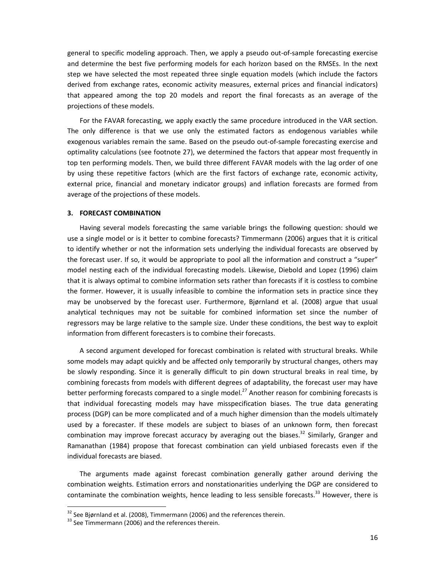general to specific modeling approach. Then, we apply a pseudo out-of-sample forecasting exercise and determine the best five performing models for each horizon based on the RMSEs. In the next step we have selected the most repeated three single equation models (which include the factors derived from exchange rates, economic activity measures, external prices and financial indicators) that appeared among the top 20 models and report the final forecasts as an average of the projections of these models.

For the FAVAR forecasting, we apply exactly the same procedure introduced in the VAR section. The only difference is that we use only the estimated factors as endogenous variables while exogenous variables remain the same. Based on the pseudo out-of-sample forecasting exercise and optimality calculations (see footnote 27), we determined the factors that appear most frequently in top ten performing models. Then, we build three different FAVAR models with the lag order of one by using these repetitive factors (which are the first factors of exchange rate, economic activity, external price, financial and monetary indicator groups) and inflation forecasts are formed from average of the projections of these models.

#### **3. FORECAST COMBINATION**

Having several models forecasting the same variable brings the following question: should we use a single model or is it better to combine forecasts? Timmermann (2006) argues that it is critical to identify whether or not the information sets underlying the individual forecasts are observed by the forecast user. If so, it would be appropriate to pool all the information and construct a "super" model nesting each of the individual forecasting models. Likewise, Diebold and Lopez (1996) claim that it is always optimal to combine information sets rather than forecasts if it is costless to combine the former. However, it is usually infeasible to combine the information sets in practice since they may be unobserved by the forecast user. Furthermore, Bjørnland et al. (2008) argue that usual analytical techniques may not be suitable for combined information set since the number of regressors may be large relative to the sample size. Under these conditions, the best way to exploit information from different forecasters is to combine their forecasts.

A second argument developed for forecast combination is related with structural breaks. While some models may adapt quickly and be affected only temporarily by structural changes, others may be slowly responding. Since it is generally difficult to pin down structural breaks in real time, by combining forecasts from models with different degrees of adaptability, the forecast user may have better performing forecasts compared to a single model.<sup>27</sup> Another reason for combining forecasts is that individual forecasting models may have misspecification biases. The true data generating process (DGP) can be more complicated and of a much higher dimension than the models ultimately used by a forecaster. If these models are subject to biases of an unknown form, then forecast combination may improve forecast accuracy by averaging out the biases.<sup>32</sup> Similarly, Granger and Ramanathan (1984) propose that forecast combination can yield unbiased forecasts even if the individual forecasts are biased.

The arguments made against forecast combination generally gather around deriving the combination weights. Estimation errors and nonstationarities underlying the DGP are considered to contaminate the combination weights, hence leading to less sensible forecasts.<sup>33</sup> However, there is

l,

 $32$  See Bjørnland et al. (2008), Timmermann (2006) and the references therein.

<sup>&</sup>lt;sup>33</sup> See Timmermann (2006) and the references therein.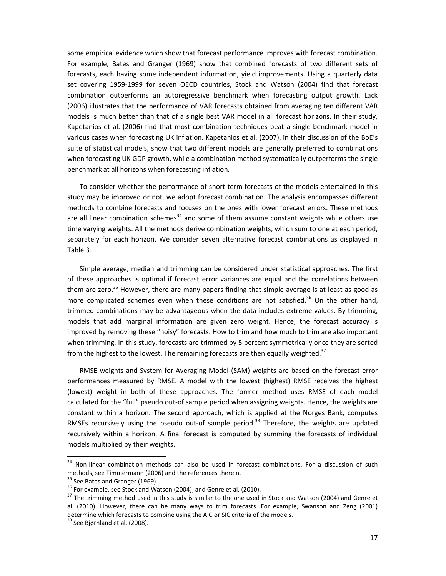some empirical evidence which show that forecast performance improves with forecast combination. For example, Bates and Granger (1969) show that combined forecasts of two different sets of forecasts, each having some independent information, yield improvements. Using a quarterly data set covering 1959-1999 for seven OECD countries, Stock and Watson (2004) find that forecast combination outperforms an autoregressive benchmark when forecasting output growth. Lack (2006) illustrates that the performance of VAR forecasts obtained from averaging ten different VAR models is much better than that of a single best VAR model in all forecast horizons. In their study, Kapetanios et al. (2006) find that most combination techniques beat a single benchmark model in various cases when forecasting UK inflation. Kapetanios et al. (2007), in their discussion of the BoE's suite of statistical models, show that two different models are generally preferred to combinations when forecasting UK GDP growth, while a combination method systematically outperforms the single benchmark at all horizons when forecasting inflation.

To consider whether the performance of short term forecasts of the models entertained in this study may be improved or not, we adopt forecast combination. The analysis encompasses different methods to combine forecasts and focuses on the ones with lower forecast errors. These methods are all linear combination schemes $34$  and some of them assume constant weights while others use time varying weights. All the methods derive combination weights, which sum to one at each period, separately for each horizon. We consider seven alternative forecast combinations as displayed in Table 3.

Simple average, median and trimming can be considered under statistical approaches. The first of these approaches is optimal if forecast error variances are equal and the correlations between them are zero.<sup>35</sup> However, there are many papers finding that simple average is at least as good as more complicated schemes even when these conditions are not satisfied.<sup>36</sup> On the other hand, trimmed combinations may be advantageous when the data includes extreme values. By trimming, models that add marginal information are given zero weight. Hence, the forecast accuracy is improved by removing these "noisy" forecasts. How to trim and how much to trim are also important when trimming. In this study, forecasts are trimmed by 5 percent symmetrically once they are sorted from the highest to the lowest. The remaining forecasts are then equally weighted. $37$ 

RMSE weights and System for Averaging Model (SAM) weights are based on the forecast error performances measured by RMSE. A model with the lowest (highest) RMSE receives the highest (lowest) weight in both of these approaches. The former method uses RMSE of each model calculated for the "full" pseudo out-of sample period when assigning weights. Hence, the weights are constant within a horizon. The second approach, which is applied at the Norges Bank, computes RMSEs recursively using the pseudo out-of sample period.<sup>38</sup> Therefore, the weights are updated recursively within a horizon. A final forecast is computed by summing the forecasts of individual models multiplied by their weights.

1

<sup>&</sup>lt;sup>34</sup> Non-linear combination methods can also be used in forecast combinations. For a discussion of such methods, see Timmermann (2006) and the references therein.

 $35$  See Bates and Granger (1969).

 $36$  For example, see Stock and Watson (2004), and Genre et al. (2010).

 $37$  The trimming method used in this study is similar to the one used in Stock and Watson (2004) and Genre et al. (2010). However, there can be many ways to trim forecasts. For example, Swanson and Zeng (2001) determine which forecasts to combine using the AIC or SIC criteria of the models.

<sup>&</sup>lt;sup>38</sup> See Bjørnland et al. (2008).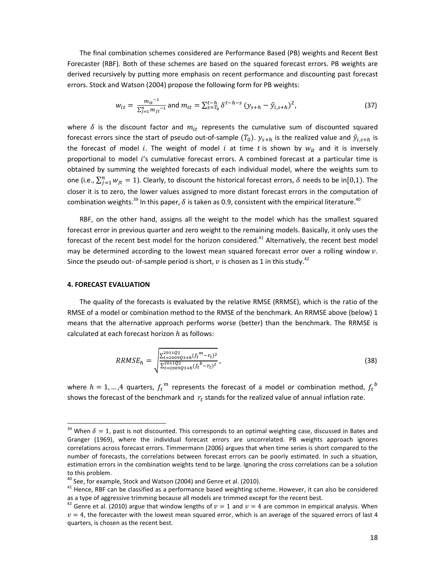The final combination schemes considered are Performance Based (PB) weights and Recent Best Forecaster (RBF). Both of these schemes are based on the squared forecast errors. PB weights are derived recursively by putting more emphasis on recent performance and discounting past forecast errors. Stock and Watson (2004) propose the following form for PB weights:

$$
w_{it} = \frac{m_{it}^{-1}}{\sum_{j=1}^{n} m_{jt}^{-1}} \text{ and } m_{it} = \sum_{s=T_0}^{t-h} \delta^{t-h-s} (y_{s+h} - \hat{y}_{i,s+h})^2,
$$
(37)

where  $\delta$  is the discount factor and  $m_{it}$  represents the cumulative sum of discounted squared forecast errors since the start of pseudo out-of-sample  $(T_0)$ .  $y_{s+h}$  is the realized value and  $\hat{y}_{i,s+h}$  is the forecast of model i. The weight of model i at time t is shown by  $w_{it}$  and it is inversely proportional to model  $i$ 's cumulative forecast errors. A combined forecast at a particular time is obtained by summing the weighted forecasts of each individual model, where the weights sum to one (i.e.,  $\sum_{j=1}^n w_{jt} = 1$ ). Clearly, to discount the historical forecast errors,  $\delta$  needs to be in[0,1). The closer it is to zero, the lower values assigned to more distant forecast errors in the computation of combination weights.<sup>39</sup> In this paper,  $\delta$  is taken as 0.9, consistent with the empirical literature.<sup>40</sup>

RBF, on the other hand, assigns all the weight to the model which has the smallest squared forecast error in previous quarter and zero weight to the remaining models. Basically, it only uses the forecast of the recent best model for the horizon considered.<sup>41</sup> Alternatively, the recent best model may be determined according to the lowest mean squared forecast error over a rolling window  $v$ . Since the pseudo out- of-sample period is short,  $v$  is chosen as 1 in this study.<sup>42</sup>

#### **4. FORECAST EVALUATION**

l,

The quality of the forecasts is evaluated by the relative RMSE (RRMSE), which is the ratio of the RMSE of a model or combination method to the RMSE of the benchmark. An RRMSE above (below) 1 means that the alternative approach performs worse (better) than the benchmark. The RRMSE is calculated at each forecast horizon  $h$  as follows:

$$
RRMSE_h = \sqrt{\frac{\sum_{t=2009Q3+h}^{2011Q2}(f_t^m - r_t)^2}{\sum_{t=2009Q3+h}^{2011Q2}(f_t^b - r_t)^2}},
$$
\n(38)

where  $h=1,...,4$  quarters,  ${f_t}^m$  represents the forecast of a model or combination method,  ${f_t}^b$ shows the forecast of the benchmark and  $r_t$  stands for the realized value of annual inflation rate.

<sup>&</sup>lt;sup>39</sup> When  $\delta = 1$ , past is not discounted. This corresponds to an optimal weighting case, discussed in Bates and Granger (1969), where the individual forecast errors are uncorrelated. PB weights approach ignores correlations across forecast errors. Timmermann (2006) argues that when time series is short compared to the number of forecasts, the correlations between forecast errors can be poorly estimated. In such a situation, estimation errors in the combination weights tend to be large. Ignoring the cross correlations can be a solution to this problem.

 $40$  See, for example, Stock and Watson (2004) and Genre et al. (2010).

 $41$  Hence, RBF can be classified as a performance based weighting scheme. However, it can also be considered as a type of aggressive trimming because all models are trimmed except for the recent best.

<sup>&</sup>lt;sup>42</sup> Genre et al. (2010) argue that window lengths of  $v = 1$  and  $v = 4$  are common in empirical analysis. When  $v = 4$ , the forecaster with the lowest mean squared error, which is an average of the squared errors of last 4 quarters, is chosen as the recent best.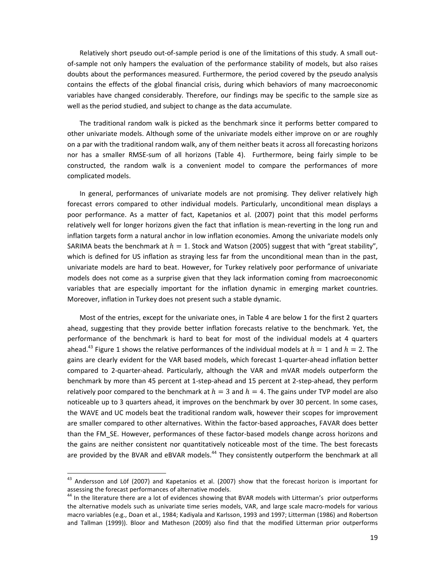Relatively short pseudo out-of-sample period is one of the limitations of this study. A small outof-sample not only hampers the evaluation of the performance stability of models, but also raises doubts about the performances measured. Furthermore, the period covered by the pseudo analysis contains the effects of the global financial crisis, during which behaviors of many macroeconomic variables have changed considerably. Therefore, our findings may be specific to the sample size as well as the period studied, and subject to change as the data accumulate.

The traditional random walk is picked as the benchmark since it performs better compared to other univariate models. Although some of the univariate models either improve on or are roughly on a par with the traditional random walk, any of them neither beats it across all forecasting horizons nor has a smaller RMSE-sum of all horizons (Table 4). Furthermore, being fairly simple to be constructed, the random walk is a convenient model to compare the performances of more complicated models.

In general, performances of univariate models are not promising. They deliver relatively high forecast errors compared to other individual models. Particularly, unconditional mean displays a poor performance. As a matter of fact, Kapetanios et al. (2007) point that this model performs relatively well for longer horizons given the fact that inflation is mean-reverting in the long run and inflation targets form a natural anchor in low inflation economies. Among the univariate models only SARIMA beats the benchmark at  $h = 1$ . Stock and Watson (2005) suggest that with "great stability", which is defined for US inflation as straying less far from the unconditional mean than in the past, univariate models are hard to beat. However, for Turkey relatively poor performance of univariate models does not come as a surprise given that they lack information coming from macroeconomic variables that are especially important for the inflation dynamic in emerging market countries. Moreover, inflation in Turkey does not present such a stable dynamic.

Most of the entries, except for the univariate ones, in Table 4 are below 1 for the first 2 quarters ahead, suggesting that they provide better inflation forecasts relative to the benchmark. Yet, the performance of the benchmark is hard to beat for most of the individual models at 4 quarters ahead.<sup>43</sup> Figure 1 shows the relative performances of the individual models at  $h = 1$  and  $h = 2$ . The gains are clearly evident for the VAR based models, which forecast 1-quarter-ahead inflation better compared to 2-quarter-ahead. Particularly, although the VAR and mVAR models outperform the benchmark by more than 45 percent at 1-step-ahead and 15 percent at 2-step-ahead, they perform relatively poor compared to the benchmark at  $h = 3$  and  $h = 4$ . The gains under TVP model are also noticeable up to 3 quarters ahead, it improves on the benchmark by over 30 percent. In some cases, the WAVE and UC models beat the traditional random walk, however their scopes for improvement are smaller compared to other alternatives. Within the factor-based approaches, FAVAR does better than the FM\_SE. However, performances of these factor-based models change across horizons and the gains are neither consistent nor quantitatively noticeable most of the time. The best forecasts are provided by the BVAR and eBVAR models.<sup>44</sup> They consistently outperform the benchmark at all

1

 $^{43}$  Andersson and Löf (2007) and Kapetanios et al. (2007) show that the forecast horizon is important for assessing the forecast performances of alternative models.

<sup>&</sup>lt;sup>44</sup> In the literature there are a lot of evidences showing that BVAR models with Litterman's prior outperforms the alternative models such as univariate time series models, VAR, and large scale macro-models for various macro variables (e.g., Doan et al., 1984; Kadiyala and Karlsson, 1993 and 1997; Litterman (1986) and Robertson and Tallman (1999)). Bloor and Matheson (2009) also find that the modified Litterman prior outperforms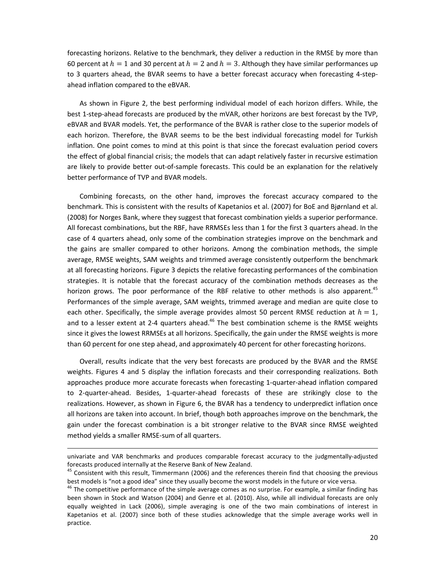forecasting horizons. Relative to the benchmark, they deliver a reduction in the RMSE by more than 60 percent at  $h = 1$  and 30 percent at  $h = 2$  and  $h = 3$ . Although they have similar performances up to 3 quarters ahead, the BVAR seems to have a better forecast accuracy when forecasting 4-stepahead inflation compared to the eBVAR.

As shown in Figure 2, the best performing individual model of each horizon differs. While, the best 1-step-ahead forecasts are produced by the mVAR, other horizons are best forecast by the TVP, eBVAR and BVAR models. Yet, the performance of the BVAR is rather close to the superior models of each horizon. Therefore, the BVAR seems to be the best individual forecasting model for Turkish inflation. One point comes to mind at this point is that since the forecast evaluation period covers the effect of global financial crisis; the models that can adapt relatively faster in recursive estimation are likely to provide better out-of-sample forecasts. This could be an explanation for the relatively better performance of TVP and BVAR models.

Combining forecasts, on the other hand, improves the forecast accuracy compared to the benchmark. This is consistent with the results of Kapetanios et al. (2007) for BoE and Bjørnland et al. (2008) for Norges Bank, where they suggest that forecast combination yields a superior performance. All forecast combinations, but the RBF, have RRMSEs less than 1 for the first 3 quarters ahead. In the case of 4 quarters ahead, only some of the combination strategies improve on the benchmark and the gains are smaller compared to other horizons. Among the combination methods, the simple average, RMSE weights, SAM weights and trimmed average consistently outperform the benchmark at all forecasting horizons. Figure 3 depicts the relative forecasting performances of the combination strategies. It is notable that the forecast accuracy of the combination methods decreases as the horizon grows. The poor performance of the RBF relative to other methods is also apparent.<sup>45</sup> Performances of the simple average, SAM weights, trimmed average and median are quite close to each other. Specifically, the simple average provides almost 50 percent RMSE reduction at  $h = 1$ , and to a lesser extent at 2-4 quarters ahead. $46$  The best combination scheme is the RMSE weights since it gives the lowest RRMSEs at all horizons. Specifically, the gain under the RMSE weights is more than 60 percent for one step ahead, and approximately 40 percent for other forecasting horizons.

Overall, results indicate that the very best forecasts are produced by the BVAR and the RMSE weights. Figures 4 and 5 display the inflation forecasts and their corresponding realizations. Both approaches produce more accurate forecasts when forecasting 1-quarter-ahead inflation compared to 2-quarter-ahead. Besides, 1-quarter-ahead forecasts of these are strikingly close to the realizations. However, as shown in Figure 6, the BVAR has a tendency to underpredict inflation once all horizons are taken into account. In brief, though both approaches improve on the benchmark, the gain under the forecast combination is a bit stronger relative to the BVAR since RMSE weighted method yields a smaller RMSE-sum of all quarters.

l,

univariate and VAR benchmarks and produces comparable forecast accuracy to the judgmentally-adjusted forecasts produced internally at the Reserve Bank of New Zealand.

 $45$  Consistent with this result, Timmermann (2006) and the references therein find that choosing the previous best models is "not a good idea" since they usually become the worst models in the future or vice versa.

<sup>&</sup>lt;sup>46</sup> The competitive performance of the simple average comes as no surprise. For example, a similar finding has been shown in Stock and Watson (2004) and Genre et al. (2010). Also, while all individual forecasts are only equally weighted in Lack (2006), simple averaging is one of the two main combinations of interest in Kapetanios et al. (2007) since both of these studies acknowledge that the simple average works well in practice.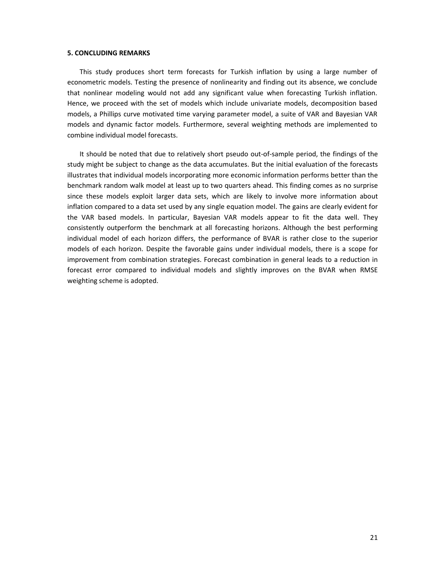#### **5. CONCLUDING REMARKS**

This study produces short term forecasts for Turkish inflation by using a large number of econometric models. Testing the presence of nonlinearity and finding out its absence, we conclude that nonlinear modeling would not add any significant value when forecasting Turkish inflation. Hence, we proceed with the set of models which include univariate models, decomposition based models, a Phillips curve motivated time varying parameter model, a suite of VAR and Bayesian VAR models and dynamic factor models. Furthermore, several weighting methods are implemented to combine individual model forecasts.

It should be noted that due to relatively short pseudo out-of-sample period, the findings of the study might be subject to change as the data accumulates. But the initial evaluation of the forecasts illustrates that individual models incorporating more economic information performs better than the benchmark random walk model at least up to two quarters ahead. This finding comes as no surprise since these models exploit larger data sets, which are likely to involve more information about inflation compared to a data set used by any single equation model. The gains are clearly evident for the VAR based models. In particular, Bayesian VAR models appear to fit the data well. They consistently outperform the benchmark at all forecasting horizons. Although the best performing individual model of each horizon differs, the performance of BVAR is rather close to the superior models of each horizon. Despite the favorable gains under individual models, there is a scope for improvement from combination strategies. Forecast combination in general leads to a reduction in forecast error compared to individual models and slightly improves on the BVAR when RMSE weighting scheme is adopted.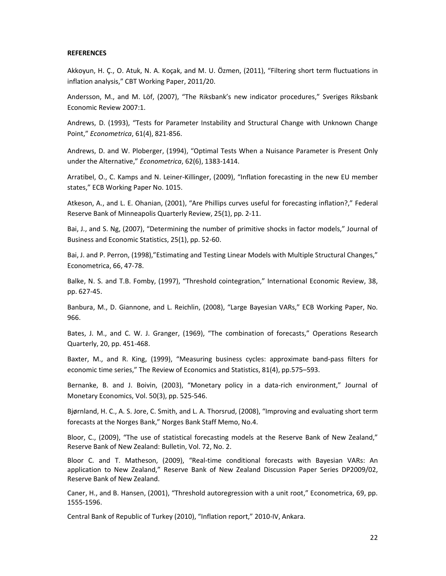#### **REFERENCES**

Akkoyun, H. Ç., O. Atuk, N. A. Koçak, and M. U. Özmen, (2011), "Filtering short term fluctuations in inflation analysis," CBT Working Paper, 2011/20.

Andersson, M., and M. Löf, (2007), "The Riksbank's new indicator procedures," Sveriges Riksbank Economic Review 2007:1.

Andrews, D. (1993), "Tests for Parameter Instability and Structural Change with Unknown Change Point," *Econometrica*, 61(4), 821-856.

Andrews, D. and W. Ploberger, (1994), "Optimal Tests When a Nuisance Parameter is Present Only under the Alternative," *Econometrica*, 62(6), 1383-1414.

Arratibel, O., C. Kamps and N. Leiner-Killinger, (2009), "Inflation forecasting in the new EU member states," ECB Working Paper No. 1015.

Atkeson, A., and L. E. Ohanian, (2001), "Are Phillips curves useful for forecasting inflation?," Federal Reserve Bank of Minneapolis Quarterly Review, 25(1), pp. 2-11.

Bai, J., and S. Ng, (2007), "Determining the number of primitive shocks in factor models," Journal of Business and Economic Statistics, 25(1), pp. 52-60.

Bai, J. and P. Perron, (1998),"Estimating and Testing Linear Models with Multiple Structural Changes," Econometrica, 66, 47-78.

Balke, N. S. and T.B. Fomby, (1997), "Threshold cointegration," International Economic Review, 38, pp. 627-45.

Banbura, M., D. Giannone, and L. Reichlin, (2008), "Large Bayesian VARs," ECB Working Paper, No. 966.

Bates, J. M., and C. W. J. Granger, (1969), "The combination of forecasts," Operations Research Quarterly, 20, pp. 451-468.

Baxter, M., and R. King, (1999), "Measuring business cycles: approximate band-pass filters for economic time series," The Review of Economics and Statistics, 81(4), pp.575–593.

Bernanke, B. and J. Boivin, (2003), "Monetary policy in a data-rich environment," Journal of Monetary Economics, Vol. 50(3), pp. 525-546.

Bjørnland, H. C., A. S. Jore, C. Smith, and L. A. Thorsrud, (2008), "Improving and evaluating short term forecasts at the Norges Bank," Norges Bank Staff Memo, No.4.

Bloor, C., (2009), "The use of statistical forecasting models at the Reserve Bank of New Zealand," Reserve Bank of New Zealand: Bulletin, Vol. 72, No. 2.

Bloor C. and T. Matheson, (2009), "Real-time conditional forecasts with Bayesian VARs: An application to New Zealand," Reserve Bank of New Zealand Discussion Paper Series DP2009/02, Reserve Bank of New Zealand.

Caner, H., and B. Hansen, (2001), "Threshold autoregression with a unit root," Econometrica, 69, pp. 1555-1596.

Central Bank of Republic of Turkey (2010), "Inflation report," 2010-IV, Ankara.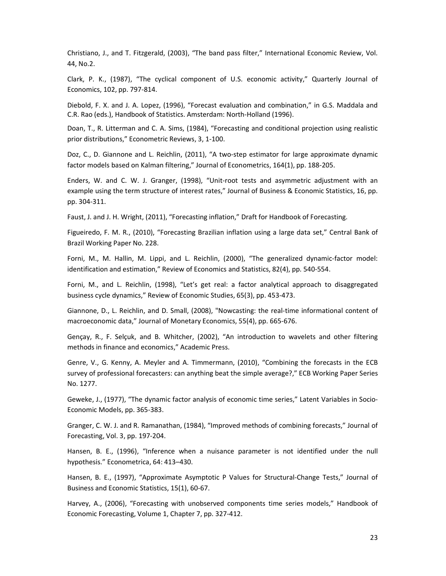Christiano, J., and T. Fitzgerald, (2003), "The band pass filter," International Economic Review, Vol. 44, No.2.

Clark, P. K., (1987), "The cyclical component of U.S. economic activity," Quarterly Journal of Economics, 102, pp. 797-814.

Diebold, F. X. and J. A. Lopez, (1996), "Forecast evaluation and combination," in G.S. Maddala and C.R. Rao (eds.), Handbook of Statistics. Amsterdam: North-Holland (1996).

Doan, T., R. Litterman and C. A. Sims, (1984), "Forecasting and conditional projection using realistic prior distributions," Econometric Reviews, 3, 1-100.

Doz, C., D. Giannone and L. Reichlin, (2011), "A two-step estimator for large approximate dynamic factor models based on Kalman filtering," Journal of Econometrics, 164(1), pp. 188-205.

Enders, W. and C. W. J. Granger, (1998), "Unit-root tests and asymmetric adjustment with an example using the term structure of interest rates," Journal of Business & Economic Statistics, 16, pp. pp. 304-311.

Faust, J. and J. H. Wright, (2011), "Forecasting inflation," Draft for Handbook of Forecasting.

Figueiredo, F. M. R., (2010), "Forecasting Brazilian inflation using a large data set," Central Bank of Brazil Working Paper No. 228.

Forni, M., M. Hallin, M. Lippi, and L. Reichlin, (2000), "The generalized dynamic-factor model: identification and estimation," Review of Economics and Statistics, 82(4), pp. 540-554.

Forni, M., and L. Reichlin, (1998), "Let's get real: a factor analytical approach to disaggregated business cycle dynamics," Review of Economic Studies, 65(3), pp. 453-473.

Giannone, D., L. Reichlin, and D. Small, (2008), "Nowcasting: the real-time informational content of macroeconomic data," Journal of Monetary Economics, 55(4), pp. 665-676.

Gençay, R., F. Selçuk, and B. Whitcher, (2002), "An introduction to wavelets and other filtering methods in finance and economics," Academic Press.

Genre, V., G. Kenny, A. Meyler and A. Timmermann, (2010), "Combining the forecasts in the ECB survey of professional forecasters: can anything beat the simple average?," ECB Working Paper Series No. 1277.

Geweke, J., (1977), "The dynamic factor analysis of economic time series," Latent Variables in Socio-Economic Models, pp. 365-383.

Granger, C. W. J. and R. Ramanathan, (1984), "Improved methods of combining forecasts," Journal of Forecasting, Vol. 3, pp. 197-204.

Hansen, B. E., (1996), "Inference when a nuisance parameter is not identified under the null hypothesis." Econometrica, 64: 413–430.

Hansen, B. E., (1997), "Approximate Asymptotic P Values for Structural-Change Tests," Journal of Business and Economic Statistics, 15(1), 60-67.

Harvey, A., (2006), "Forecasting with unobserved components time series models," Handbook of Economic Forecasting, Volume 1, Chapter 7, pp. 327-412.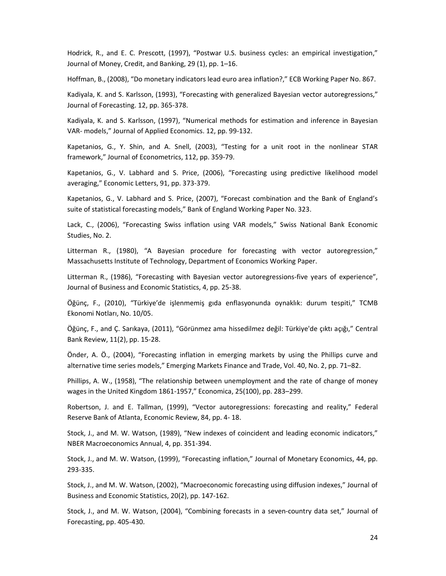Hodrick, R., and E. C. Prescott, (1997), "Postwar U.S. business cycles: an empirical investigation," Journal of Money, Credit, and Banking, 29 (1), pp. 1–16.

Hoffman, B., (2008), "Do monetary indicators lead euro area inflation?," ECB Working Paper No. 867.

Kadiyala, K. and S. Karlsson, (1993), "Forecasting with generalized Bayesian vector autoregressions," Journal of Forecasting. 12, pp. 365-378.

Kadiyala, K. and S. Karlsson, (1997), "Numerical methods for estimation and inference in Bayesian VAR- models," Journal of Applied Economics. 12, pp. 99-132.

Kapetanios, G., Y. Shin, and A. Snell, (2003), "Testing for a unit root in the nonlinear STAR framework," Journal of Econometrics, 112, pp. 359-79.

Kapetanios, G., V. Labhard and S. Price, (2006), "Forecasting using predictive likelihood model averaging," Economic Letters, 91, pp. 373-379.

Kapetanios, G., V. Labhard and S. Price, (2007), "Forecast combination and the Bank of England's suite of statistical forecasting models," Bank of England Working Paper No. 323.

Lack, C., (2006), "Forecasting Swiss inflation using VAR models," Swiss National Bank Economic Studies, No. 2.

Litterman R., (1980), "A Bayesian procedure for forecasting with vector autoregression," Massachusetts Institute of Technology, Department of Economics Working Paper.

Litterman R., (1986), "Forecasting with Bayesian vector autoregressions-five years of experience", Journal of Business and Economic Statistics, 4, pp. 25-38.

Öğünç, F., (2010), "Türkiye'de işlenmemiş gıda enflasyonunda oynaklık: durum tespiti," TCMB Ekonomi Notları, No. 10/05.

Öğünç, F., and Ç. Sarıkaya, (2011), "Görünmez ama hissedilmez değil: Türkiye'de çıktı açığı," Central Bank Review, 11(2), pp. 15-28.

Önder, A. Ö., (2004), "Forecasting inflation in emerging markets by using the Phillips curve and alternative time series models," Emerging Markets Finance and Trade, Vol. 40, No. 2, pp. 71–82.

Phillips, A. W., (1958), "The relationship between unemployment and the rate of change of money wages in the United Kingdom 1861-1957," Economica, 25(100), pp. 283–299.

Robertson, J. and E. Tallman, (1999), "Vector autoregressions: forecasting and reality," Federal Reserve Bank of Atlanta, Economic Review, 84, pp. 4- 18.

Stock, J., and M. W. Watson, (1989), "New indexes of coincident and leading economic indicators," NBER Macroeconomics Annual, 4, pp. 351-394.

Stock, J., and M. W. Watson, (1999), "Forecasting inflation," Journal of Monetary Economics, 44, pp. 293-335.

Stock, J., and M. W. Watson, (2002), "Macroeconomic forecasting using diffusion indexes," Journal of Business and Economic Statistics, 20(2), pp. 147-162.

Stock, J., and M. W. Watson, (2004), "Combining forecasts in a seven-country data set," Journal of Forecasting, pp. 405-430.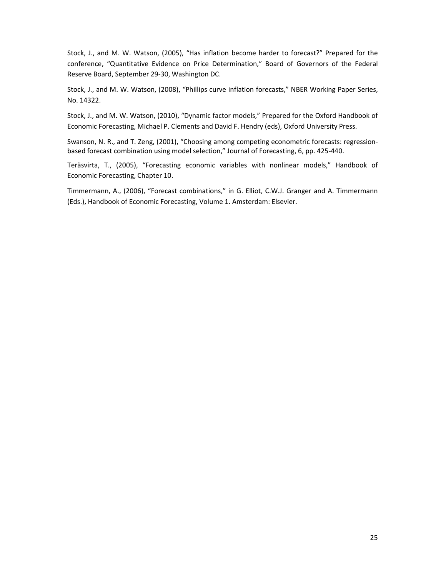Stock, J., and M. W. Watson, (2005), "Has inflation become harder to forecast?" Prepared for the conference, "Quantitative Evidence on Price Determination," Board of Governors of the Federal Reserve Board, September 29-30, Washington DC.

Stock, J., and M. W. Watson, (2008), "Phillips curve inflation forecasts," NBER Working Paper Series, No. 14322.

Stock, J., and M. W. Watson, (2010), "Dynamic factor models," Prepared for the Oxford Handbook of Economic Forecasting, Michael P. Clements and David F. Hendry (eds), Oxford University Press.

Swanson, N. R., and T. Zeng, (2001), "Choosing among competing econometric forecasts: regressionbased forecast combination using model selection," Journal of Forecasting, 6, pp. 425-440.

Teräsvirta, T., (2005), "Forecasting economic variables with nonlinear models," Handbook of Economic Forecasting, Chapter 10.

Timmermann, A., (2006), "Forecast combinations," in G. Elliot, C.W.J. Granger and A. Timmermann (Eds.), Handbook of Economic Forecasting, Volume 1. Amsterdam: Elsevier.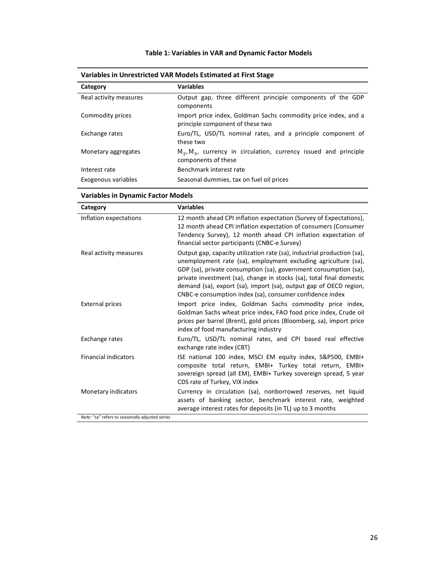# **Table 1: Variables in VAR and Dynamic Factor Models**

| Category               | <b>Variables</b>                                                                                   |
|------------------------|----------------------------------------------------------------------------------------------------|
| Real activity measures | Output gap, three different principle components of the GDP<br>components                          |
| Commodity prices       | Import price index, Goldman Sachs commodity price index, and a<br>principle component of these two |
| Exchange rates         | Euro/TL, USD/TL nominal rates, and a principle component of<br>these two                           |
| Monetary aggregates    | $M_2$ , $M_3$ , currency in circulation, currency issued and principle<br>components of these      |
| Interest rate          | Benchmark interest rate                                                                            |
| Exogenous variables    | Seasonal dummies, tax on fuel oil prices                                                           |

# **Variables in Unrestricted VAR Models Estimated at First Stage**

| Category                                        | <b>Variables</b>                                                                                                                                                                                                                                                                                                                                                                                                       |
|-------------------------------------------------|------------------------------------------------------------------------------------------------------------------------------------------------------------------------------------------------------------------------------------------------------------------------------------------------------------------------------------------------------------------------------------------------------------------------|
| Inflation expectations                          | 12 month ahead CPI inflation expectation (Survey of Expectations),<br>12 month ahead CPI inflation expectation of consumers (Consumer<br>Tendency Survey), 12 month ahead CPI inflation expectation of<br>financial sector participants (CNBC-e Survey)                                                                                                                                                                |
| Real activity measures                          | Output gap, capacity utilization rate (sa), industrial production (sa),<br>unemployment rate (sa), employment excluding agriculture (sa),<br>GDP (sa), private consumption (sa), government consumption (sa),<br>private investment (sa), change in stocks (sa), total final domestic<br>demand (sa), export (sa), import (sa), output gap of OECD region,<br>CNBC-e consumption index (sa), consumer confidence index |
| <b>External prices</b>                          | Import price index, Goldman Sachs commodity price index,<br>Goldman Sachs wheat price index, FAO food price index, Crude oil<br>prices per barrel (Brent), gold prices (Bloomberg, sa), import price<br>index of food manufacturing industry                                                                                                                                                                           |
| Exchange rates                                  | Euro/TL, USD/TL nominal rates, and CPI based real effective<br>exchange rate index (CBT)                                                                                                                                                                                                                                                                                                                               |
| <b>Financial indicators</b>                     | ISE national 100 index, MSCI EM equity index, S&P500, EMBI+<br>composite total return, EMBI+ Turkey total return, EMBI+<br>sovereign spread (all EM), EMBI+ Turkey sovereign spread, 5 year<br>CDS rate of Turkey, VIX index                                                                                                                                                                                           |
| Monetary indicators                             | Currency in circulation (sa), nonborrowed reserves, net liquid<br>assets of banking sector, benchmark interest rate, weighted<br>average interest rates for deposits (in TL) up to 3 months                                                                                                                                                                                                                            |
| Note: "sa" refers to seasonally adjusted series |                                                                                                                                                                                                                                                                                                                                                                                                                        |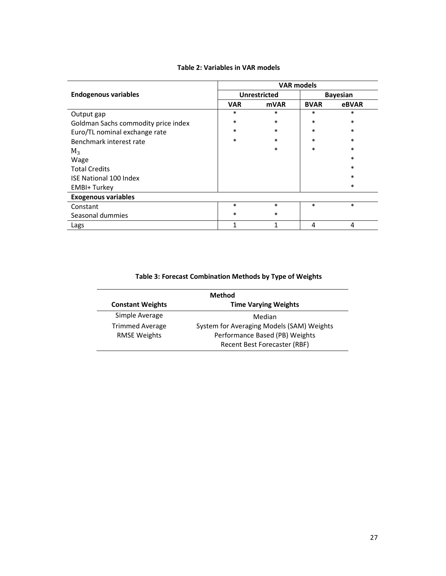|                                     | <b>VAR models</b> |                     |                 |        |
|-------------------------------------|-------------------|---------------------|-----------------|--------|
| <b>Endogenous variables</b>         |                   | <b>Unrestricted</b> | <b>Bayesian</b> |        |
|                                     | <b>VAR</b>        | <b>mVAR</b>         | <b>BVAR</b>     | eBVAR  |
| Output gap                          | $\ast$            | $\ast$              | $\ast$          | $\ast$ |
| Goldman Sachs commodity price index | $\ast$            | $\ast$              | $\ast$          | $\ast$ |
| Euro/TL nominal exchange rate       | $\ast$            | $\ast$              | $\ast$          | $\ast$ |
| Benchmark interest rate             | $\ast$            | *                   | $\ast$          | $\ast$ |
| $M_3$                               |                   | $\ast$              | $\ast$          | $\ast$ |
| Wage                                |                   |                     |                 | $\ast$ |
| <b>Total Credits</b>                |                   |                     |                 | $\ast$ |
| <b>ISE National 100 Index</b>       |                   |                     |                 | $\ast$ |
| <b>EMBI+Turkey</b>                  |                   |                     |                 | $\ast$ |
| <b>Exogenous variables</b>          |                   |                     |                 |        |
| Constant                            | $\ast$            | $\ast$              | $\ast$          | $\ast$ |
| Seasonal dummies                    | $\ast$            | *                   |                 |        |
| Lags                                | $\mathbf{1}$      | 1                   | 4               | 4      |

#### **Table 2: Variables in VAR models**

# **Table 3: Forecast Combination Methods by Type of Weights**

| Method                  |                                           |  |  |  |
|-------------------------|-------------------------------------------|--|--|--|
| <b>Constant Weights</b> | <b>Time Varying Weights</b>               |  |  |  |
| Simple Average          | Median                                    |  |  |  |
| <b>Trimmed Average</b>  | System for Averaging Models (SAM) Weights |  |  |  |
| <b>RMSE Weights</b>     | Performance Based (PB) Weights            |  |  |  |
|                         | Recent Best Forecaster (RBF)              |  |  |  |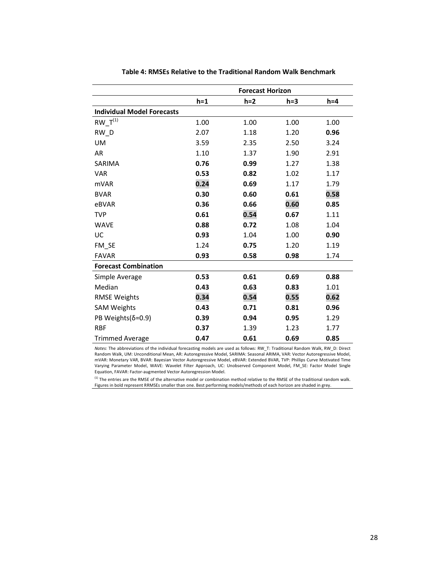|                                   | <b>Forecast Horizon</b> |       |       |         |  |
|-----------------------------------|-------------------------|-------|-------|---------|--|
|                                   | $h = 1$                 | $h=2$ | $h=3$ | $h = 4$ |  |
| <b>Individual Model Forecasts</b> |                         |       |       |         |  |
| $RW_T^{(1)}$                      | 1.00                    | 1.00  | 1.00  | 1.00    |  |
| RW D                              | 2.07                    | 1.18  | 1.20  | 0.96    |  |
| <b>UM</b>                         | 3.59                    | 2.35  | 2.50  | 3.24    |  |
| AR                                | 1.10                    | 1.37  | 1.90  | 2.91    |  |
| SARIMA                            | 0.76                    | 0.99  | 1.27  | 1.38    |  |
| <b>VAR</b>                        | 0.53                    | 0.82  | 1.02  | 1.17    |  |
| <b>mVAR</b>                       | 0.24                    | 0.69  | 1.17  | 1.79    |  |
| <b>BVAR</b>                       | 0.30                    | 0.60  | 0.61  | 0.58    |  |
| eBVAR                             | 0.36                    | 0.66  | 0.60  | 0.85    |  |
| <b>TVP</b>                        | 0.61                    | 0.54  | 0.67  | 1.11    |  |
| <b>WAVE</b>                       | 0.88                    | 0.72  | 1.08  | 1.04    |  |
| UC                                | 0.93                    | 1.04  | 1.00  | 0.90    |  |
| FM SE                             | 1.24                    | 0.75  | 1.20  | 1.19    |  |
| <b>FAVAR</b>                      | 0.93                    | 0.58  | 0.98  | 1.74    |  |
| <b>Forecast Combination</b>       |                         |       |       |         |  |
| Simple Average                    | 0.53                    | 0.61  | 0.69  | 0.88    |  |
| Median                            | 0.43                    | 0.63  | 0.83  | 1.01    |  |
| <b>RMSE Weights</b>               | 0.34                    | 0.54  | 0.55  | 0.62    |  |
| <b>SAM Weights</b>                | 0.43                    | 0.71  | 0.81  | 0.96    |  |
| PB Weights( $\delta$ =0.9)        | 0.39                    | 0.94  | 0.95  | 1.29    |  |
| <b>RBF</b>                        | 0.37                    | 1.39  | 1.23  | 1.77    |  |
| <b>Trimmed Average</b>            | 0.47                    | 0.61  | 0.69  | 0.85    |  |

**Table 4: RMSEs Relative to the Traditional Random Walk Benchmark**

*Notes:* The abbreviations of the individual forecasting models are used as follows: RW\_T: Traditional Random Walk, RW\_D: Direct Random Walk, UM: Unconditional Mean, AR: Autoregressive Model, SARIMA: Seasonal ARIMA, VAR: Vector Autoregressive Model, mVAR: Monetary VAR, BVAR: Bayesian Vector Autoregressive Model, eBVAR: Extended BVAR, TVP: Phillips Curve Motivated Time<br>Varying Parameter Model, WAVE: Wavelet Filter Approach, UC: Unobserved Component Model, FM\_SE: Factor Equation, FAVAR: Factor-augmented Vector Autoregression Model.

 $^{(1)}$  The entries are the RMSE of the alternative model or combination method relative to the RMSE of the traditional random walk. Figures in bold represent RRMSEs smaller than one. Best performing models/methods of each horizon are shaded in grey.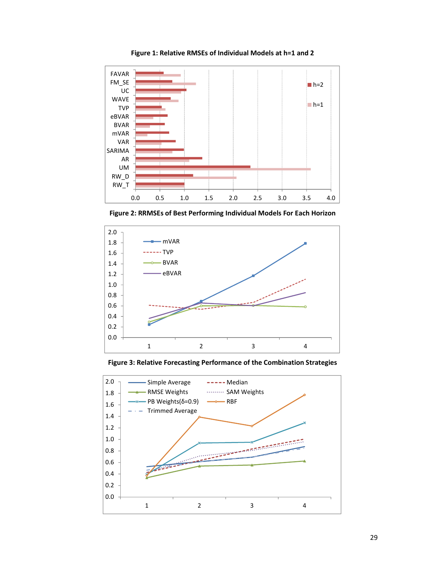

**Figure 1: Relative RMSEs of Individual Models at h=1 and 2**

**Figure 2: RRMSEs of Best Performing Individual Models For Each Horizon**



**Figure 3: Relative Forecasting Performance of the Combination Strategies**

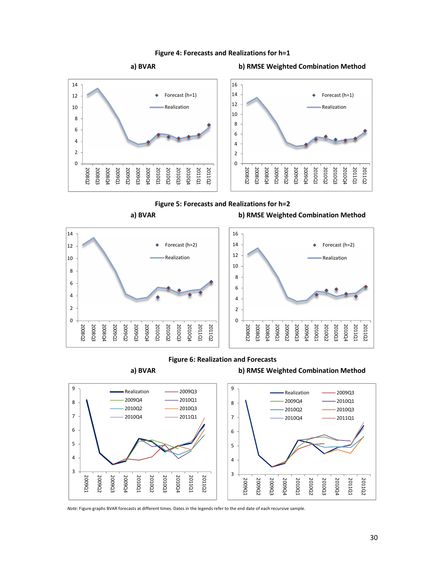



**a) BVAR b) RMSE Weighted Combination Method**



*Note:* Figure graphs BVAR forecasts at different times. Dates in the legends refer to the end date of each recursive sample.